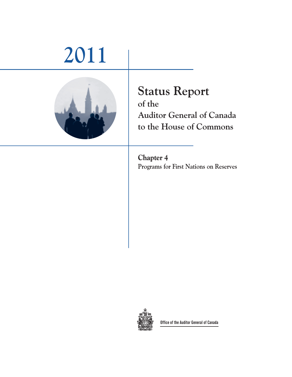# **2011**



## **Status Report of the Auditor General of Canada to the House of Commons**

**Chapter 4 Programs for First Nations on Reserves**



**Office of the Auditor General of Canada**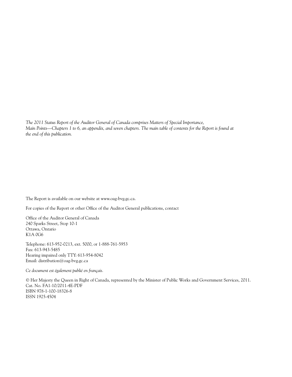*The 2011 Status Report of the Auditor General of Canada comprises Matters of Special Importance, Main Points—Chapters 1 to 6, an appendix, and seven chapters. The main table of contents for the Report is found at the end of this publication.*

The Report is available on our website at www.oag-bvg.gc.ca.

For copies of the Report or other Office of the Auditor General publications, contact

Office of the Auditor General of Canada 240 Sparks Street, Stop 10-1 Ottawa, Ontario K1A 0G6

Telephone: 613-952-0213, ext. 5000, or 1-888-761-5953 Fax: 613-943-5485 Hearing impaired only TTY: 613-954-8042 Email: distribution@oag-bvg.gc.ca

*Ce document est également publié en français.*

© Her Majesty the Queen in Right of Canada, represented by the Minister of Public Works and Government Services, 2011. Cat. No. FA1-10/2011-4E-PDF ISBN 978-1-100-18326-8 ISSN 1925-4504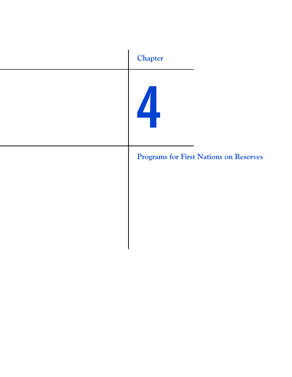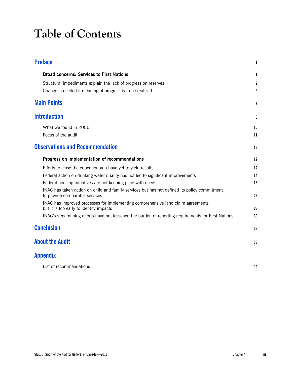# **Table of Contents**

| <b>Preface</b>                                                                                                                 | 1  |
|--------------------------------------------------------------------------------------------------------------------------------|----|
| <b>Broad concerns: Services to First Nations</b>                                                                               | 1  |
| Structural impediments explain the lack of progress on reserves                                                                | 2  |
| Change is needed if meaningful progress is to be realized                                                                      | 5  |
| <b>Main Points</b>                                                                                                             | 7  |
| <b>Introduction</b>                                                                                                            | 9  |
| What we found in 2006                                                                                                          | 10 |
| Focus of the audit                                                                                                             | 11 |
| <b>Observations and Recommendation</b>                                                                                         | 12 |
| Progress on implementation of recommendations                                                                                  | 12 |
| Efforts to close the education gap have yet to yield results                                                                   | 12 |
| Federal action on drinking water quality has not led to significant improvements                                               | 14 |
| Federal housing initiatives are not keeping pace with needs                                                                    | 18 |
| INAC has taken action on child and family services but has not defined its policy commitment<br>to provide comparable services | 23 |
| INAC has improved processes for implementing comprehensive land claim agreements<br>but it is too early to identify impacts    | 26 |
| INAC's streamlining efforts have not lessened the burden of reporting requirements for First Nations                           | 30 |
| <b>Conclusion</b>                                                                                                              | 36 |
| <b>About the Audit</b>                                                                                                         | 38 |
| Appendix                                                                                                                       |    |
| List of recommendations                                                                                                        | 44 |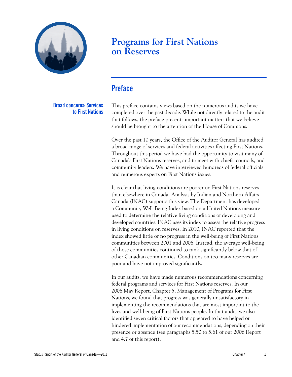

### **Programs for First Nations on Reserves**

### <span id="page-6-0"></span>**Preface**

<span id="page-6-1"></span>**Broad concerns: Services to First Nations** This preface contains views based on the numerous audits we have completed over the past decade. While not directly related to the audit that follows, the preface presents important matters that we believe should be brought to the attention of the House of Commons.

Over the past 10 years, the Office of the Auditor General has audited a broad range of services and federal activities affecting First Nations. Throughout this period we have had the opportunity to visit many of Canada's First Nations reserves, and to meet with chiefs, councils, and community leaders. We have interviewed hundreds of federal officials and numerous experts on First Nations issues.

It is clear that living conditions are poorer on First Nations reserves than elsewhere in Canada. Analysis by Indian and Northern Affairs Canada (INAC) supports this view. The Department has developed a Community Well-Being Index based on a United Nations measure used to determine the relative living conditions of developing and developed countries. INAC uses its index to assess the relative progress in living conditions on reserves. In 2010, INAC reported that the index showed little or no progress in the well-being of First Nations communities between 2001 and 2006. Instead, the average well-being of those communities continued to rank significantly below that of other Canadian communities. Conditions on too many reserves are poor and have not improved significantly.

In our audits, we have made numerous recommendations concerning federal programs and services for First Nations reserves. In our 2006 May Report, Chapter 5, Management of Programs for First Nations, we found that progress was generally unsatisfactory in implementing the recommendations that are most important to the lives and well-being of First Nations people. In that audit, we also identified seven critical factors that appeared to have helped or hindered implementation of our recommendations, depending on their presence or absence (see paragraphs 5.50 to 5.61 of our 2006 Report and 4.7 of this report).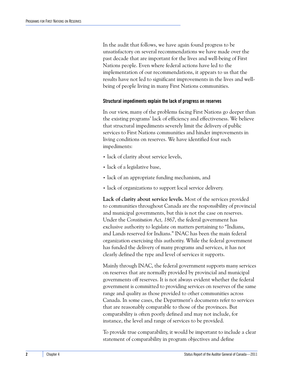In the audit that follows, we have again found progress to be unsatisfactory on several recommendations we have made over the past decade that are important for the lives and well-being of First Nations people. Even where federal actions have led to the implementation of our recommendations, it appears to us that the results have not led to significant improvements in the lives and wellbeing of people living in many First Nations communities.

#### <span id="page-7-0"></span>**Structural impediments explain the lack of progress on reserves**

In our view, many of the problems facing First Nations go deeper than the existing programs' lack of efficiency and effectiveness. We believe that structural impediments severely limit the delivery of public services to First Nations communities and hinder improvements in living conditions on reserves. We have identified four such impediments:

- lack of clarity about service levels,
- lack of a legislative base,
- **•** lack of an appropriate funding mechanism, and
- **•** lack of organizations to support local service delivery.

**Lack of clarity about service levels.** Most of the services provided to communities throughout Canada are the responsibility of provincial and municipal governments, but this is not the case on reserves. Under the *Constitution Act, 1867*, the federal government has exclusive authority to legislate on matters pertaining to "Indians, and Lands reserved for Indians." INAC has been the main federal organization exercising this authority. While the federal government has funded the delivery of many programs and services, it has not clearly defined the type and level of services it supports.

Mainly through INAC, the federal government supports many services on reserves that are normally provided by provincial and municipal governments off reserves. It is not always evident whether the federal government is committed to providing services on reserves of the same range and quality as those provided to other communities across Canada. In some cases, the Department's documents refer to services that are reasonably comparable to those of the provinces. But comparability is often poorly defined and may not include, for instance, the level and range of services to be provided.

To provide true comparability, it would be important to include a clear statement of comparability in program objectives and define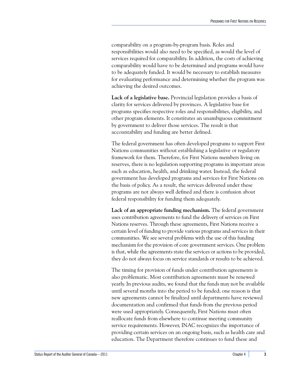comparability on a program-by-program basis. Roles and responsibilities would also need to be specified, as would the level of services required for comparability. In addition, the costs of achieving comparability would have to be determined and programs would have to be adequately funded. It would be necessary to establish measures for evaluating performance and determining whether the program was achieving the desired outcomes.

**Lack of a legislative base.** Provincial legislation provides a basis of clarity for services delivered by provinces. A legislative base for programs specifies respective roles and responsibilities, eligibility, and other program elements. It constitutes an unambiguous commitment by government to deliver those services. The result is that accountability and funding are better defined.

The federal government has often developed programs to support First Nations communities without establishing a legislative or regulatory framework for them. Therefore, for First Nations members living on reserves, there is no legislation supporting programs in important areas such as education, health, and drinking water. Instead, the federal government has developed programs and services for First Nations on the basis of policy. As a result, the services delivered under these programs are not always well defined and there is confusion about federal responsibility for funding them adequately.

**Lack of an appropriate funding mechanism.** The federal government uses contribution agreements to fund the delivery of services on First Nations reserves. Through these agreements, First Nations receive a certain level of funding to provide various programs and services in their communities. We see several problems with the use of this funding mechanism for the provision of core government services. One problem is that, while the agreements state the services or actions to be provided, they do not always focus on service standards or results to be achieved.

The timing for provision of funds under contribution agreements is also problematic. Most contribution agreements must be renewed yearly. In previous audits, we found that the funds may not be available until several months into the period to be funded; one reason is that new agreements cannot be finalized until departments have reviewed documentation and confirmed that funds from the previous period were used appropriately. Consequently, First Nations must often reallocate funds from elsewhere to continue meeting community service requirements. However, INAC recognizes the importance of providing certain services on an ongoing basis, such as health care and education. The Department therefore continues to fund these and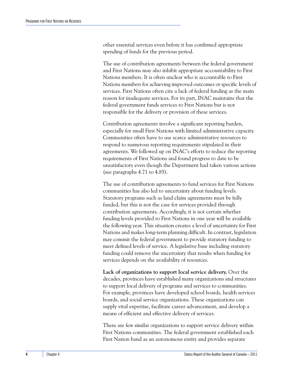other essential services even before it has confirmed appropriate spending of funds for the previous period.

The use of contribution agreements between the federal government and First Nations may also inhibit appropriate accountability to First Nations members. It is often unclear who is accountable to First Nations members for achieving improved outcomes or specific levels of services. First Nations often cite a lack of federal funding as the main reason for inadequate services. For its part, INAC maintains that the federal government funds services to First Nations but is not responsible for the delivery or provision of these services.

Contribution agreements involve a significant reporting burden, especially for small First Nations with limited administrative capacity. Communities often have to use scarce administrative resources to respond to numerous reporting requirements stipulated in their agreements. We followed up on INAC's efforts to reduce the reporting requirements of First Nations and found progress to date to be unsatisfactory even though the Department had taken various actions (see paragraphs 4.71 to 4.85).

The use of contribution agreements to fund services for First Nations communities has also led to uncertainty about funding levels. Statutory programs such as land claim agreements must be fully funded, but this is not the case for services provided through contribution agreements. Accordingly, it is not certain whether funding levels provided to First Nations in one year will be available the following year. This situation creates a level of uncertainty for First Nations and makes long-term planning difficult. In contrast, legislation may commit the federal government to provide statutory funding to meet defined levels of service. A legislative base including statutory funding could remove the uncertainty that results when funding for services depends on the availability of resources.

**Lack of organizations to support local service delivery.** Over the decades, provinces have established many organizations and structures to support local delivery of programs and services to communities. For example, provinces have developed school boards, health services boards, and social service organizations. These organizations can supply vital expertise, facilitate career advancement, and develop a means of efficient and effective delivery of services.

There are few similar organizations to support service delivery within First Nations communities. The federal government established each First Nation band as an autonomous entity and provides separate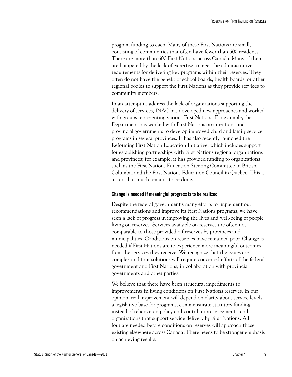program funding to each. Many of these First Nations are small, consisting of communities that often have fewer than 500 residents. There are more than 600 First Nations across Canada. Many of them are hampered by the lack of expertise to meet the administrative requirements for delivering key programs within their reserves. They often do not have the benefit of school boards, health boards, or other regional bodies to support the First Nations as they provide services to community members.

In an attempt to address the lack of organizations supporting the delivery of services, INAC has developed new approaches and worked with groups representing various First Nations. For example, the Department has worked with First Nations organizations and provincial governments to develop improved child and family service programs in several provinces. It has also recently launched the Reforming First Nation Education Initiative, which includes support for establishing partnerships with First Nations regional organizations and provinces; for example, it has provided funding to organizations such as the First Nations Education Steering Committee in British Columbia and the First Nations Education Council in Quebec. This is a start, but much remains to be done.

#### <span id="page-10-0"></span>**Change is needed if meaningful progress is to be realized**

Despite the federal government's many efforts to implement our recommendations and improve its First Nations programs, we have seen a lack of progress in improving the lives and well-being of people living on reserves. Services available on reserves are often not comparable to those provided off reserves by provinces and municipalities. Conditions on reserves have remained poor. Change is needed if First Nations are to experience more meaningful outcomes from the services they receive. We recognize that the issues are complex and that solutions will require concerted efforts of the federal government and First Nations, in collaboration with provincial governments and other parties.

We believe that there have been structural impediments to improvements in living conditions on First Nations reserves. In our opinion, real improvement will depend on clarity about service levels, a legislative base for programs, commensurate statutory funding instead of reliance on policy and contribution agreements, and organizations that support service delivery by First Nations. All four are needed before conditions on reserves will approach those existing elsewhere across Canada. There needs to be stronger emphasis on achieving results.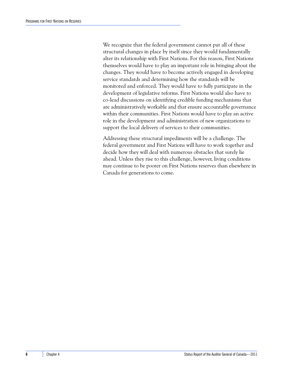We recognize that the federal government cannot put all of these structural changes in place by itself since they would fundamentally alter its relationship with First Nations. For this reason, First Nations themselves would have to play an important role in bringing about the changes. They would have to become actively engaged in developing service standards and determining how the standards will be monitored and enforced. They would have to fully participate in the development of legislative reforms. First Nations would also have to co-lead discussions on identifying credible funding mechanisms that are administratively workable and that ensure accountable governance within their communities. First Nations would have to play an active role in the development and administration of new organizations to support the local delivery of services to their communities.

Addressing these structural impediments will be a challenge. The federal government and First Nations will have to work together and decide how they will deal with numerous obstacles that surely lie ahead. Unless they rise to this challenge, however, living conditions may continue to be poorer on First Nations reserves than elsewhere in Canada for generations to come.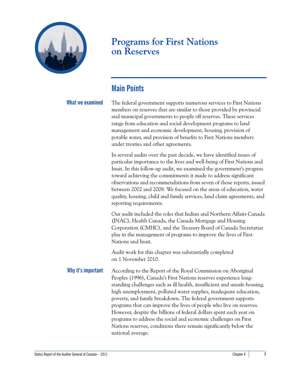

### **Programs for First Nations on Reserves**

### <span id="page-12-0"></span>**Main Points**

**What we examined** The federal government supports numerous services to First Nations members on reserves that are similar to those provided by provincial and municipal governments to people off reserves. These services range from education and social development programs to land management and economic development, housing, provision of potable water, and provision of benefits to First Nations members under treaties and other agreements.

> In several audits over the past decade, we have identified issues of particular importance to the lives and well-being of First Nations and Inuit. In this follow-up audit, we examined the government's progress toward achieving the commitments it made to address significant observations and recommendations from seven of those reports, issued between 2002 and 2008. We focused on the areas of education, water quality, housing, child and family services, land claim agreements, and reporting requirements.

> Our audit included the roles that Indian and Northern Affairs Canada (INAC), Health Canada, the Canada Mortgage and Housing Corporation (CMHC), and the Treasury Board of Canada Secretariat play in the management of programs to improve the lives of First Nations and Inuit.

Audit work for this chapter was substantially completed on 1 November 2010.

Why it's **important** According to the Report of the Royal Commission on Aboriginal Peoples (1996), Canada's First Nations reserves experience longstanding challenges such as ill health, insufficient and unsafe housing, high unemployment, polluted water supplies, inadequate education, poverty, and family breakdown. The federal government supports programs that can improve the lives of people who live on reserves. However, despite the billions of federal dollars spent each year on programs to address the social and economic challenges on First Nations reserves, conditions there remain significantly below the national average.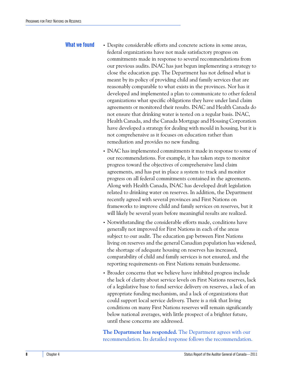- What we found **•** Despite considerable efforts and concrete actions in some areas, federal organizations have not made satisfactory progress on commitments made in response to several recommendations from our previous audits. INAC has just begun implementing a strategy to close the education gap. The Department has not defined what is meant by its policy of providing child and family services that are reasonably comparable to what exists in the provinces. Nor has it developed and implemented a plan to communicate to other federal organizations what specific obligations they have under land claim agreements or monitored their results. INAC and Health Canada do not ensure that drinking water is tested on a regular basis. INAC, Health Canada, and the Canada Mortgage and Housing Corporation have developed a strategy for dealing with mould in housing, but it is not comprehensive as it focuses on education rather than remediation and provides no new funding.
	- **•** INAC has implemented commitments it made in response to some of our recommendations. For example, it has taken steps to monitor progress toward the objectives of comprehensive land claim agreements, and has put in place a system to track and monitor progress on all federal commitments contained in the agreements. Along with Health Canada, INAC has developed draft legislation related to drinking water on reserves. In addition, the Department recently agreed with several provinces and First Nations on frameworks to improve child and family services on reserves, but it will likely be several years before meaningful results are realized.
	- **•** Notwithstanding the considerable efforts made, conditions have generally not improved for First Nations in each of the areas subject to our audit. The education gap between First Nations living on reserves and the general Canadian population has widened, the shortage of adequate housing on reserves has increased, comparability of child and family services is not ensured, and the reporting requirements on First Nations remain burdensome.
	- **•** Broader concerns that we believe have inhibited progress include the lack of clarity about service levels on First Nations reserves, lack of a legislative base to fund service delivery on reserves, a lack of an appropriate funding mechanism, and a lack of organizations that could support local service delivery. There is a risk that living conditions on many First Nations reserves will remain significantly below national averages, with little prospect of a brighter future, until these concerns are addressed.

**The Department has responded.** The Department agrees with our recommendation. Its detailed response follows the recommendation.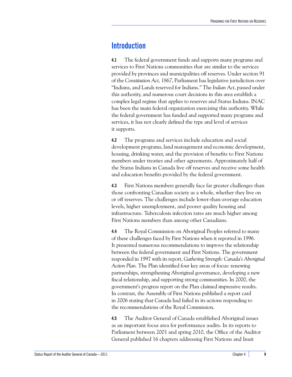### <span id="page-14-0"></span>**Introduction**

**4.1** The federal government funds and supports many programs and services to First Nations communities that are similar to the services provided by provinces and municipalities off reserves. Under section 91 of the *Constitution Act, 1867,* Parliament has legislative jurisdiction over "Indians, and Lands reserved for Indians." The *Indian Act*, passed under this authority, and numerous court decisions in this area establish a complex legal regime that applies to reserves and Status Indians. INAC has been the main federal organization exercising this authority. While the federal government has funded and supported many programs and services, it has not clearly defined the type and level of services it supports.

**4.2** The programs and services include education and social development programs, land management and economic development, housing, drinking water, and the provision of benefits to First Nations members under treaties and other agreements. Approximately half of the Status Indians in Canada live off reserves and receive some health and education benefits provided by the federal government.

**4.3** First Nations members generally face far greater challenges than those confronting Canadian society as a whole, whether they live on or off reserves. The challenges include lower-than-average education levels, higher unemployment, and poorer quality housing and infrastructure. Tuberculosis infection rates are much higher among First Nations members than among other Canadians.

**4.4** The Royal Commission on Aboriginal Peoples referred to many of these challenges faced by First Nations when it reported in 1996. It presented numerous recommendations to improve the relationship between the federal government and First Nations. The government responded in 1997 with its report, *Gathering Strength: Canada's Aboriginal Action Plan.* The Plan identified four key areas of focus: renewing partnerships, strengthening Aboriginal governance, developing a new fiscal relationship, and supporting strong communities. In 2000, the government's progress report on the Plan claimed impressive results. In contrast, the Assembly of First Nations published a report card in 2006 stating that Canada had failed in its actions responding to the recommendations of the Royal Commission.

**4.5** The Auditor General of Canada established Aboriginal issues as an important focus area for performance audits. In its reports to Parliament between 2001 and spring 2010, the Office of the Auditor General published 16 chapters addressing First Nations and Inuit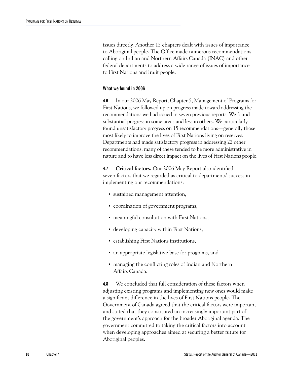issues directly. Another 15 chapters dealt with issues of importance to Aboriginal people. The Office made numerous recommendations calling on Indian and Northern Affairs Canada (INAC) and other federal departments to address a wide range of issues of importance to First Nations and Inuit people.

#### <span id="page-15-0"></span>**What we found in 2006**

**4.6** In our 2006 May Report, Chapter 5, Management of Programs for First Nations, we followed up on progress made toward addressing the recommendations we had issued in seven previous reports. We found substantial progress in some areas and less in others. We particularly found unsatisfactory progress on 15 recommendations—generally those most likely to improve the lives of First Nations living on reserves. Departments had made satisfactory progress in addressing 22 other recommendations; many of these tended to be more administrative in nature and to have less direct impact on the lives of First Nations people.

**4.7 Critical factors.** Our 2006 May Report also identified seven factors that we regarded as critical to departments' success in implementing our recommendations:

- **•** sustained management attention,
- **•** coordination of government programs,
- **•** meaningful consultation with First Nations,
- **•** developing capacity within First Nations,
- **•** establishing First Nations institutions,
- **•** an appropriate legislative base for programs, and
- **•** managing the conflicting roles of Indian and Northern Affairs Canada.

**4.8** We concluded that full consideration of these factors when adjusting existing programs and implementing new ones would make a significant difference in the lives of First Nations people. The Government of Canada agreed that the critical factors were important and stated that they constituted an increasingly important part of the government's approach for the broader Aboriginal agenda. The government committed to taking the critical factors into account when developing approaches aimed at securing a better future for Aboriginal peoples.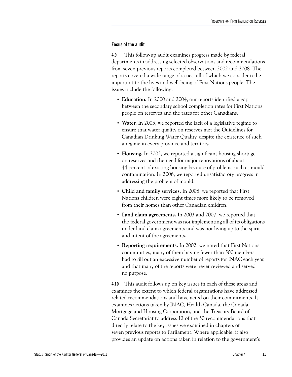#### <span id="page-16-0"></span>**Focus of the audit**

**4.9** This follow-up audit examines progress made by federal departments in addressing selected observations and recommendations from seven previous reports completed between 2002 and 2008. The reports covered a wide range of issues, all of which we consider to be important to the lives and well-being of First Nations people. The issues include the following:

- **• Education.** In 2000 and 2004, our reports identified a gap between the secondary school completion rates for First Nations people on reserves and the rates for other Canadians.
- **• Water.** In 2005, we reported the lack of a legislative regime to ensure that water quality on reserves met the Guidelines for Canadian Drinking Water Quality, despite the existence of such a regime in every province and territory.
- **• Housing.** In 2003, we reported a significant housing shortage on reserves and the need for major renovations of about 44 percent of existing housing because of problems such as mould contamination. In 2006, we reported unsatisfactory progress in addressing the problem of mould.
- **• Child and family services.** In 2008, we reported that First Nations children were eight times more likely to be removed from their homes than other Canadian children.
- **• Land claim agreements.** In 2003 and 2007, we reported that the federal government was not implementing all of its obligations under land claim agreements and was not living up to the spirit and intent of the agreements.
- **• Reporting requirements.** In 2002, we noted that First Nations communities, many of them having fewer than 500 members, had to fill out an excessive number of reports for INAC each year, and that many of the reports were never reviewed and served no purpose.

**4.10** This audit follows up on key issues in each of these areas and examines the extent to which federal organizations have addressed related recommendations and have acted on their commitments. It examines actions taken by INAC, Health Canada, the Canada Mortgage and Housing Corporation, and the Treasury Board of Canada Secretariat to address 12 of the 50 recommendations that directly relate to the key issues we examined in chapters of seven previous reports to Parliament. Where applicable, it also provides an update on actions taken in relation to the government's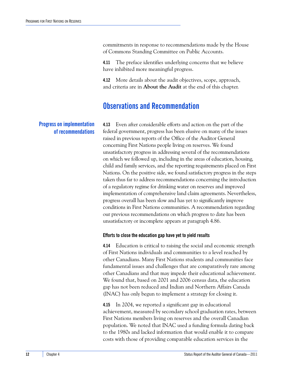commitments in response to recommendations made by the House of Commons Standing Committee on Public Accounts.

**4.11** The preface identifies underlying concerns that we believe have inhibited more meaningful progress.

**4.12** More details about the audit objectives, scope, approach, and criteria are in **About the Audit** at the end of this chapter.

### <span id="page-17-0"></span>**Observations and Recommendation**

**4.13** Even after considerable efforts and action on the part of the federal government, progress has been elusive on many of the issues raised in previous reports of the Office of the Auditor General concerning First Nations people living on reserves. We found unsatisfactory progress in addressing several of the recommendations on which we followed up, including in the areas of education, housing, child and family services, and the reporting requirements placed on First Nations. On the positive side, we found satisfactory progress in the steps taken thus far to address recommendations concerning the introduction of a regulatory regime for drinking water on reserves and improved implementation of comprehensive land claim agreements. Nevertheless, progress overall has been slow and has yet to significantly improve conditions in First Nations communities. A recommendation regarding our previous recommendations on which progress to date has been unsatisfactory or incomplete appears at paragraph 4.86.

#### <span id="page-17-2"></span>**Efforts to close the education gap have yet to yield results**

**4.14** Education is critical to raising the social and economic strength of First Nations individuals and communities to a level reached by other Canadians. Many First Nations students and communities face fundamental issues and challenges that are comparatively rare among other Canadians and that may impede their educational achievement. We found that, based on 2001 and 2006 census data, the education gap has not been reduced and Indian and Northern Affairs Canada (INAC) has only begun to implement a strategy for closing it.

**4.15** In 2004, we reported a significant gap in educational achievement, measured by secondary school graduation rates, between First Nations members living on reserves and the overall Canadian population. We noted that INAC used a funding formula dating back to the 1980s and lacked information that would enable it to compare costs with those of providing comparable education services in the

### <span id="page-17-1"></span>**Progress on implementation of recommendations**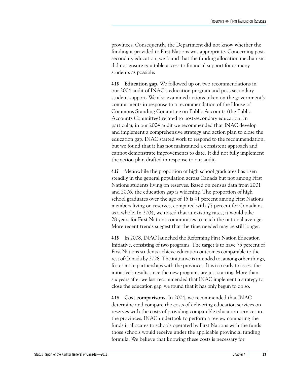provinces. Consequently, the Department did not know whether the funding it provided to First Nations was appropriate. Concerning postsecondary education, we found that the funding allocation mechanism did not ensure equitable access to financial support for as many students as possible.

**4.16 Education gap.** We followed up on two recommendations in our 2004 audit of INAC's education program and post-secondary student support. We also examined actions taken on the government's commitments in response to a recommendation of the House of Commons Standing Committee on Public Accounts (the Public Accounts Committee) related to post-secondary education. In particular, in our 2004 audit we recommended that INAC develop and implement a comprehensive strategy and action plan to close the education gap. INAC started work to respond to the recommendation, but we found that it has not maintained a consistent approach and cannot demonstrate improvements to date. It did not fully implement the action plan drafted in response to our audit.

**4.17** Meanwhile the proportion of high school graduates has risen steadily in the general population across Canada but not among First Nations students living on reserves. Based on census data from 2001 and 2006, the education gap is widening. The proportion of high school graduates over the age of 15 is 41 percent among First Nations members living on reserves, compared with 77 percent for Canadians as a whole. In 2004, we noted that at existing rates, it would take 28 years for First Nations communities to reach the national average. More recent trends suggest that the time needed may be still longer.

**4.18** In 2008, INAC launched the Reforming First Nation Education Initiative, consisting of two programs. The target is to have 75 percent of First Nations students achieve education outcomes comparable to the rest of Canada by 2028. The initiative is intended to, among other things, foster more partnerships with the provinces. It is too early to assess the initiative's results since the new programs are just starting. More than six years after we last recommended that INAC implement a strategy to close the education gap, we found that it has only begun to do so.

**4.19 Cost comparisons.** In 2004, we recommended that INAC determine and compare the costs of delivering education services on reserves with the costs of providing comparable education services in the provinces. INAC undertook to perform a review comparing the funds it allocates to schools operated by First Nations with the funds those schools would receive under the applicable provincial funding formula. We believe that knowing these costs is necessary for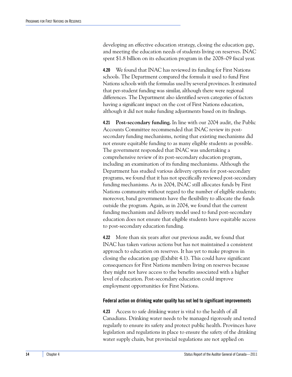developing an effective education strategy, closing the education gap, and meeting the education needs of students living on reserves. INAC spent \$1.8 billion on its education program in the 2008–09 fiscal year.

**4.20** We found that INAC has reviewed its funding for First Nations schools. The Department compared the formula it used to fund First Nations schools with the formulas used by several provinces. It estimated that per-student funding was similar, although there were regional differences. The Department also identified seven categories of factors having a significant impact on the cost of First Nations education, although it did not make funding adjustments based on its findings.

**4.21 Post-secondary funding.** In line with our 2004 audit, the Public Accounts Committee recommended that INAC review its postsecondary funding mechanisms, noting that existing mechanisms did not ensure equitable funding to as many eligible students as possible. The government responded that INAC was undertaking a comprehensive review of its post-secondary education program, including an examination of its funding mechanisms. Although the Department has studied various delivery options for post-secondary programs, we found that it has not specifically reviewed post-secondary funding mechanisms. As in 2004, INAC still allocates funds by First Nations community without regard to the number of eligible students; moreover, band governments have the flexibility to allocate the funds outside the program. Again, as in 2004, we found that the current funding mechanism and delivery model used to fund post-secondary education does not ensure that eligible students have equitable access to post-secondary education funding.

**4.22** More than six years after our previous audit, we found that INAC has taken various actions but has not maintained a consistent approach to education on reserves. It has yet to make progress in closing the education gap (Exhibit 4.1). This could have significant consequences for First Nations members living on reserves because they might not have access to the benefits associated with a higher level of education. Post-secondary education could improve employment opportunities for First Nations.

#### <span id="page-19-0"></span>**Federal action on drinking water quality has not led to significant improvements**

**4.23** Access to safe drinking water is vital to the health of all Canadians. Drinking water needs to be managed rigorously and tested regularly to ensure its safety and protect public health. Provinces have legislation and regulations in place to ensure the safety of the drinking water supply chain, but provincial regulations are not applied on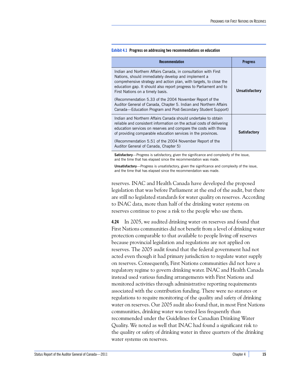**Satisfactory**

| <b>Recommendation</b>                                                                                                                                                                                                                                                                                 | <b>Progress</b> |
|-------------------------------------------------------------------------------------------------------------------------------------------------------------------------------------------------------------------------------------------------------------------------------------------------------|-----------------|
| Indian and Northern Affairs Canada, in consultation with First<br>Nations, should immediately develop and implement a<br>comprehensive strategy and action plan, with targets, to close the<br>education gap. It should also report progress to Parliament and to<br>First Nations on a timely basis. | Unsatisfactory  |
| (Recommendation 5.33 of the 2004 November Report of the<br>Auditor General of Canada, Chapter 5. Indian and Northern Affairs<br>Canada—Education Program and Post-Secondary Student Support)                                                                                                          |                 |
| Indian and Northern Affairs Canada should undertake to obtain<br>reliable and consistent information on the actual costs of delivering<br>education services on reserves and compare the costs with those                                                                                             |                 |

#### **Exhibit 4.1 Progress on addressing two recommendations on education**

of providing comparable education services in the provinces. (Recommendation 5.51 of the 2004 November Report of the

Auditor General of Canada, Chapter 5)

**Satisfactory**—Progress is satisfactory, given the significance and complexity of the issue, and the time that has elapsed since the recommendation was made.

**Unsatisfactory**—Progress is unsatisfactory, given the significance and complexity of the issue, and the time that has elapsed since the recommendation was made.

reserves. INAC and Health Canada have developed the proposed legislation that was before Parliament at the end of the audit, but there are still no legislated standards for water quality on reserves. According to INAC data, more than half of the drinking water systems on reserves continue to pose a risk to the people who use them.

**4.24** In 2005, we audited drinking water on reserves and found that First Nations communities did not benefit from a level of drinking water protection comparable to that available to people living off reserves because provincial legislation and regulations are not applied on reserves. The 2005 audit found that the federal government had not acted even though it had primary jurisdiction to regulate water supply on reserves. Consequently, First Nations communities did not have a regulatory regime to govern drinking water. INAC and Health Canada instead used various funding arrangements with First Nations and monitored activities through administrative reporting requirements associated with the contribution funding. There were no statutes or regulations to require monitoring of the quality and safety of drinking water on reserves. Our 2005 audit also found that, in most First Nations communities, drinking water was tested less frequently than recommended under the Guidelines for Canadian Drinking Water Quality. We noted as well that INAC had found a significant risk to the quality or safety of drinking water in three quarters of the drinking water systems on reserves.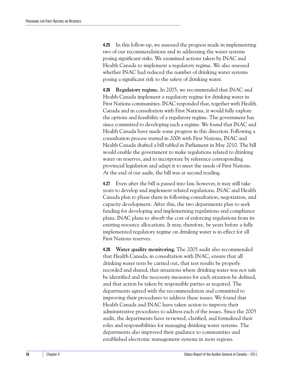**4.25** In this follow-up, we assessed the progress made in implementing two of our recommendations and in addressing the water systems posing significant risks. We examined actions taken by INAC and Health Canada to implement a regulatory regime. We also assessed whether INAC had reduced the number of drinking water systems posing a significant risk to the safety of drinking water.

**4.26 Regulatory regime.** In 2005, we recommended that INAC and Health Canada implement a regulatory regime for drinking water in First Nations communities. INAC responded that, together with Health Canada and in consultation with First Nations, it would fully explore the options and feasibility of a regulatory regime. The government has since committed to developing such a regime. We found that INAC and Health Canada have made some progress in this direction. Following a consultation process started in 2006 with First Nations, INAC and Health Canada drafted a bill tabled in Parliament in May 2010. The bill would enable the government to make regulations related to drinking water on reserves, and to incorporate by reference corresponding provincial legislation and adapt it to meet the needs of First Nations. At the end of our audit, the bill was at second reading.

**4.27** Even after the bill is passed into law, however, it may still take years to develop and implement related regulations. INAC and Health Canada plan to phase them in following consultation, negotiation, and capacity development. After this, the two departments plan to seek funding for developing and implementing regulations and compliance plans. INAC plans to absorb the cost of enforcing regulations from its existing resource allocations. It may, therefore, be years before a fully implemented regulatory regime on drinking water is in effect for all First Nations reserves.

**4.28 Water quality monitoring.** The 2005 audit also recommended that Health Canada, in consultation with INAC, ensure that all drinking water tests be carried out, that test results be properly recorded and shared, that situations where drinking water was not safe be identified and the necessary measures for each situation be defined, and that action be taken by responsible parties as required. The departments agreed with the recommendation and committed to improving their procedures to address these issues. We found that Health Canada and INAC have taken action to improve their administrative procedures to address each of the issues. Since the 2005 audit, the departments have reviewed, clarified, and formalized their roles and responsibilities for managing drinking water systems. The departments also improved their guidance to communities and established electronic management systems in most regions.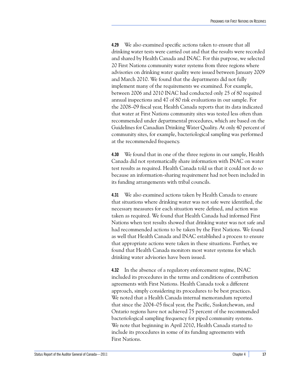**4.29** We also examined specific actions taken to ensure that all drinking water tests were carried out and that the results were recorded and shared by Health Canada and INAC. For this purpose, we selected 20 First Nations community water systems from three regions where advisories on drinking water quality were issued between January 2009 and March 2010. We found that the departments did not fully implement many of the requirements we examined. For example, between 2006 and 2010 INAC had conducted only 25 of 80 required annual inspections and 47 of 80 risk evaluations in our sample. For the 2008–09 fiscal year, Health Canada reports that its data indicated that water at First Nations community sites was tested less often than recommended under departmental procedures, which are based on the Guidelines for Canadian Drinking Water Quality. At only 40 percent of community sites, for example, bacteriological sampling was performed at the recommended frequency.

**4.30** We found that in one of the three regions in our sample, Health Canada did not systematically share information with INAC on water test results as required. Health Canada told us that it could not do so because an information-sharing requirement had not been included in its funding arrangements with tribal councils.

**4.31** We also examined actions taken by Health Canada to ensure that situations where drinking water was not safe were identified, the necessary measures for each situation were defined, and action was taken as required. We found that Health Canada had informed First Nations when test results showed that drinking water was not safe and had recommended actions to be taken by the First Nations. We found as well that Health Canada and INAC established a process to ensure that appropriate actions were taken in these situations. Further, we found that Health Canada monitors most water systems for which drinking water advisories have been issued.

**4.32** In the absence of a regulatory enforcement regime, INAC included its procedures in the terms and conditions of contribution agreements with First Nations. Health Canada took a different approach, simply considering its procedures to be best practices. We noted that a Health Canada internal memorandum reported that since the 2004–05 fiscal year, the Pacific, Saskatchewan, and Ontario regions have not achieved 75 percent of the recommended bacteriological sampling frequency for piped community systems. We note that beginning in April 2010, Health Canada started to include its procedures in some of its funding agreements with First Nations.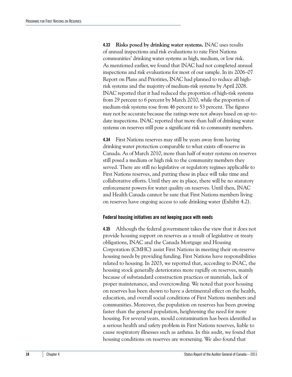**4.33 Risks posed by drinking water systems.** INAC uses results of annual inspections and risk evaluations to rate First Nations communities' drinking water systems as high, medium, or low risk. As mentioned earlier, we found that INAC had not completed annual inspections and risk evaluations for most of our sample. In its 2006–07 Report on Plans and Priorities, INAC had planned to reduce all highrisk systems and the majority of medium-risk systems by April 2008. INAC reported that it had reduced the proportion of high-risk systems from 29 percent to 6 percent by March 2010, while the proportion of medium-risk systems rose from 46 percent to 53 percent. The figures may not be accurate because the ratings were not always based on up-todate inspections. INAC reported that more than half of drinking water systems on reserves still pose a significant risk to community members.

**4.34** First Nations reserves may still be years away from having drinking water protection comparable to what exists off-reserve in Canada. As of March 2010, more than half of water systems on reserves still posed a medium or high risk to the community members they served. There are still no legislative or regulatory regimes applicable to First Nations reserves, and putting these in place will take time and collaborative efforts. Until they are in place, there will be no statutory enforcement powers for water quality on reserves. Until then, INAC and Health Canada cannot be sure that First Nations members living on reserves have ongoing access to safe drinking water (Exhibit 4.2).

#### <span id="page-23-0"></span>**Federal housing initiatives are not keeping pace with needs**

**4.35** Although the federal government takes the view that it does not provide housing support on reserves as a result of legislative or treaty obligations, INAC and the Canada Mortgage and Housing Corporation (CMHC) assist First Nations in meeting their on-reserve housing needs by providing funding. First Nations have responsibilities related to housing. In 2003, we reported that, according to INAC, the housing stock generally deteriorates more rapidly on reserves, mainly because of substandard construction practices or materials, lack of proper maintenance, and overcrowding. We noted that poor housing on reserves has been shown to have a detrimental effect on the health, education, and overall social conditions of First Nations members and communities. Moreover, the population on reserves has been growing faster than the general population, heightening the need for more housing. For several years, mould contamination has been identified as a serious health and safety problem in First Nations reserves, liable to cause respiratory illnesses such as asthma. In this audit, we found that housing conditions on reserves are worsening. We also found that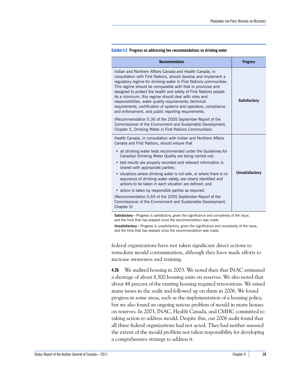| <b>Recommendation</b>                                                                                                                                                                                                                                                                                                                                                                                                                                                                                                                                                                | <b>Progress</b>       |
|--------------------------------------------------------------------------------------------------------------------------------------------------------------------------------------------------------------------------------------------------------------------------------------------------------------------------------------------------------------------------------------------------------------------------------------------------------------------------------------------------------------------------------------------------------------------------------------|-----------------------|
| Indian and Northern Affairs Canada and Health Canada, in<br>consultation with First Nations, should develop and implement a<br>regulatory regime for drinking water in First Nations communities.<br>This regime should be comparable with that in provinces and<br>designed to protect the health and safety of First Nations people.<br>As a minimum, this regime should deal with roles and<br>responsibilities, water quality requirements, technical<br>requirements, certification of systems and operators, compliance<br>and enforcement, and public reporting requirements. | <b>Satisfactory</b>   |
| (Recommendation 5.36 of the 2005 September Report of the<br>Commissioner of the Environment and Sustainable Development,<br>Chapter 5, Drinking Water in First Nations Communities)                                                                                                                                                                                                                                                                                                                                                                                                  |                       |
| Health Canada, in consultation with Indian and Northern Affairs<br>Canada and First Nations, should ensure that                                                                                                                                                                                                                                                                                                                                                                                                                                                                      |                       |
| • all drinking water tests recommended under the Guidelines for<br>Canadian Drinking Water Quality are being carried out;                                                                                                                                                                                                                                                                                                                                                                                                                                                            |                       |
| • test results are properly recorded and relevant information is<br>shared with appropriate parties;                                                                                                                                                                                                                                                                                                                                                                                                                                                                                 |                       |
| • situations where drinking water is not safe, or where there is no<br>assurance of drinking water safety, are clearly identified and<br>actions to be taken in each situation are defined; and                                                                                                                                                                                                                                                                                                                                                                                      | <b>Unsatisfactory</b> |
| • action is taken by responsible parties as required.                                                                                                                                                                                                                                                                                                                                                                                                                                                                                                                                |                       |
| (Recommendation 5.69 of the 2005 September Report of the<br>Commissioner of the Environment and Sustainable Development,                                                                                                                                                                                                                                                                                                                                                                                                                                                             |                       |

**Exhibit 4.2 Progress on addressing two recommendations on drinking water**

**Satisfactory**—Progress is satisfactory, given the significance and complexity of the issue, and the time that has elapsed since the recommendation was made.

Chapter 5)

**Unsatisfactory**—Progress is unsatisfactory, given the significance and complexity of the issue, and the time that has elapsed since the recommendation was made.

federal organizations have not taken significant direct actions to remediate mould contamination, although they have made efforts to increase awareness and training.

**4.36** We audited housing in 2003. We noted then that INAC estimated a shortage of about 8,500 housing units on reserves. We also noted that about 44 percent of the existing housing required renovations. We raised many issues in the audit and followed up on them in 2006. We found progress in some areas, such as the implementation of a housing policy, but we also found an ongoing serious problem of mould in many houses on reserves. In 2003, INAC, Health Canada, and CMHC committed to taking action to address mould. Despite this, our 2006 audit found that all three federal organizations had not acted. They had neither assessed the extent of the mould problem nor taken responsibility for developing a comprehensive strategy to address it.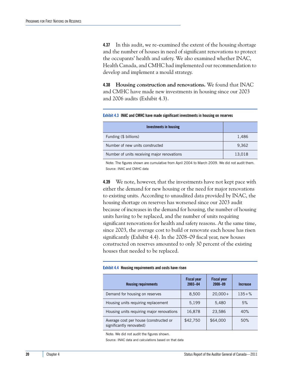**4.37** In this audit, we re-examined the extent of the housing shortage and the number of houses in need of significant renovations to protect the occupants' health and safety. We also examined whether INAC, Health Canada, and CMHC had implemented our recommendation to develop and implement a mould strategy.

**4.38 Housing construction and renovations.** We found that INAC and CMHC have made new investments in housing since our 2003 and 2006 audits (Exhibit 4.3).

**Exhibit 4.3 INAC and CMHC have made significant investments in housing on reserves**

| Investments in housing                      |        |
|---------------------------------------------|--------|
| Funding (\$ billions)                       | 1,486  |
| Number of new units constructed             | 9,362  |
| Number of units receiving major renovations | 13,018 |

Note: The figures shown are cumulative from April 2004 to March 2009. We did not audit them. Source: INAC and CMHC data

**4.39** We note, however, that the investments have not kept pace with either the demand for new housing or the need for major renovations to existing units. According to unaudited data provided by INAC, the housing shortage on reserves has worsened since our 2003 audit because of increases in the demand for housing, the number of housing units having to be replaced, and the number of units requiring significant renovations for health and safety reasons. At the same time, since 2003, the average cost to build or renovate each house has risen significantly (Exhibit 4.4). In the 2008–09 fiscal year, new houses constructed on reserves amounted to only 30 percent of the existing houses that needed to be replaced.

#### **Exhibit 4.4 Housing requirements and costs have risen**

| <b>Housing requirements</b>                                        | <b>Fiscal year</b><br>$2003 - 04$ | <b>Fiscal year</b><br>$2008 - 09$ | Increase   |
|--------------------------------------------------------------------|-----------------------------------|-----------------------------------|------------|
| Demand for housing on reserves                                     | 8,500                             | $20,000+$                         | $135 + \%$ |
| Housing units requiring replacement                                | 5,199                             | 5,480                             | 5%         |
| Housing units requiring major renovations                          | 16,878                            | 23,586                            | 40%        |
| Average cost per house (constructed or<br>significantly renovated) | \$42,750                          | \$64,000                          | 50%        |

Note: We did not audit the figures shown.

Source: INAC data and calculations based on that data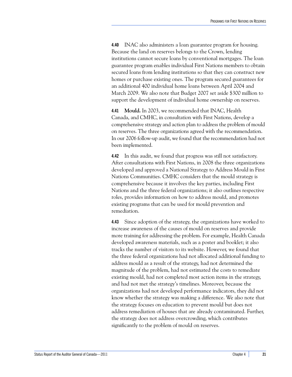**4.40** INAC also administers a loan guarantee program for housing. Because the land on reserves belongs to the Crown, lending institutions cannot secure loans by conventional mortgages. The loan guarantee program enables individual First Nations members to obtain secured loans from lending institutions so that they can construct new homes or purchase existing ones. The program secured guarantees for an additional 400 individual home loans between April 2004 and March 2009. We also note that Budget 2007 set aside \$300 million to support the development of individual home ownership on reserves.

**4.41 Mould.** In 2003, we recommended that INAC, Health Canada, and CMHC, in consultation with First Nations, develop a comprehensive strategy and action plan to address the problem of mould on reserves. The three organizations agreed with the recommendation. In our 2006 follow-up audit, we found that the recommendation had not been implemented.

**4.42** In this audit, we found that progress was still not satisfactory. After consultations with First Nations, in 2008 the three organizations developed and approved a National Strategy to Address Mould in First Nations Communities. CMHC considers that the mould strategy is comprehensive because it involves the key parties, including First Nations and the three federal organizations; it also outlines respective roles, provides information on how to address mould, and promotes existing programs that can be used for mould prevention and remediation.

**4.43** Since adoption of the strategy, the organizations have worked to increase awareness of the causes of mould on reserves and provide more training for addressing the problem. For example, Health Canada developed awareness materials, such as a poster and booklet; it also tracks the number of visitors to its website. However, we found that the three federal organizations had not allocated additional funding to address mould as a result of the strategy, had not determined the magnitude of the problem, had not estimated the costs to remediate existing mould, had not completed most action items in the strategy, and had not met the strategy's timelines. Moreover, because the organizations had not developed performance indicators, they did not know whether the strategy was making a difference. We also note that the strategy focuses on education to prevent mould but does not address remediation of houses that are already contaminated. Further, the strategy does not address overcrowding, which contributes significantly to the problem of mould on reserves.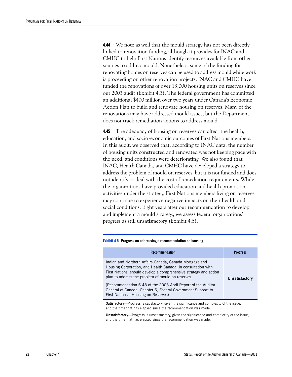**4.44** We note as well that the mould strategy has not been directly linked to renovation funding, although it provides for INAC and CMHC to help First Nations identify resources available from other sources to address mould. Nonetheless, some of the funding for renovating homes on reserves can be used to address mould while work is proceeding on other renovation projects. INAC and CMHC have funded the renovations of over 13,000 housing units on reserves since our 2003 audit (Exhibit 4.3). The federal government has committed an additional \$400 million over two years under Canada's Economic Action Plan to build and renovate housing on reserves. Many of the renovations may have addressed mould issues, but the Department does not track remediation actions to address mould.

**4.45** The adequacy of housing on reserves can affect the health, education, and socio-economic outcomes of First Nations members. In this audit, we observed that, according to INAC data, the number of housing units constructed and renovated was not keeping pace with the need, and conditions were deteriorating. We also found that INAC, Health Canada, and CMHC have developed a strategy to address the problem of mould on reserves, but it is not funded and does not identify or deal with the cost of remediation requirements. While the organizations have provided education and health promotion activities under the strategy, First Nations members living on reserves may continue to experience negative impacts on their health and social conditions. Eight years after our recommendation to develop and implement a mould strategy, we assess federal organizations' progress as still unsatisfactory (Exhibit 4.5).

#### **Exhibit 4.5 Progress on addressing a recommendation on housing**

| <b>Recommendation</b>                                                                                                                                                                                                                             | <b>Progress</b>       |
|---------------------------------------------------------------------------------------------------------------------------------------------------------------------------------------------------------------------------------------------------|-----------------------|
| Indian and Northern Affairs Canada, Canada Mortgage and<br>Housing Corporation, and Health Canada, in consultation with<br>First Nations, should develop a comprehensive strategy and action<br>plan to address the problem of mould on reserves. | <b>Unsatisfactory</b> |
| (Recommendation 6.48 of the 2003 April Report of the Auditor<br>General of Canada, Chapter 6, Federal Government Support to<br>First Nations-Housing on Reserves)                                                                                 |                       |

**Satisfactory**—Progress is satisfactory, given the significance and complexity of the issue, and the time that has elapsed since the recommendation was made.

**Unsatisfactory**—Progress is unsatisfactory, given the significance and complexity of the issue, and the time that has elapsed since the recommendation was made.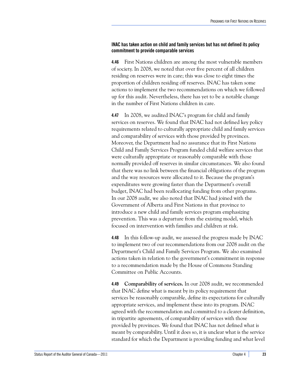#### <span id="page-28-0"></span>**INAC has taken action on child and family services but has not defined its policy commitment to provide comparable services**

**4.46** First Nations children are among the most vulnerable members of society. In 2008, we noted that over five percent of all children residing on reserves were in care; this was close to eight times the proportion of children residing off reserves. INAC has taken some actions to implement the two recommendations on which we followed up for this audit. Nevertheless, there has yet to be a notable change in the number of First Nations children in care.

**4.47** In 2008, we audited INAC's program for child and family services on reserves. We found that INAC had not defined key policy requirements related to culturally appropriate child and family services and comparability of services with those provided by provinces. Moreover, the Department had no assurance that its First Nations Child and Family Services Program funded child welfare services that were culturally appropriate or reasonably comparable with those normally provided off reserves in similar circumstances. We also found that there was no link between the financial obligations of the program and the way resources were allocated to it. Because the program's expenditures were growing faster than the Department's overall budget, INAC had been reallocating funding from other programs. In our 2008 audit, we also noted that INAC had joined with the Government of Alberta and First Nations in that province to introduce a new child and family services program emphasizing prevention. This was a departure from the existing model, which focused on intervention with families and children at risk.

**4.48** In this follow-up audit, we assessed the progress made by INAC to implement two of our recommendations from our 2008 audit on the Department's Child and Family Services Program. We also examined actions taken in relation to the government's commitment in response to a recommendation made by the House of Commons Standing Committee on Public Accounts.

**4.49 Comparability of services.** In our 2008 audit, we recommended that INAC define what is meant by its policy requirement that services be reasonably comparable, define its expectations for culturally appropriate services, and implement these into its program. INAC agreed with the recommendation and committed to a clearer definition, in tripartite agreements, of comparability of services with those provided by provinces. We found that INAC has not defined what is meant by comparability. Until it does so, it is unclear what is the service standard for which the Department is providing funding and what level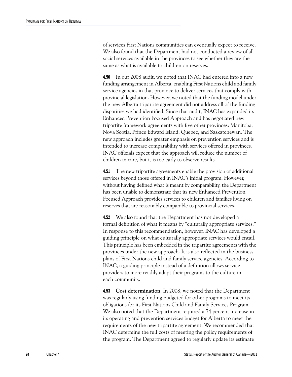of services First Nations communities can eventually expect to receive. We also found that the Department had not conducted a review of all social services available in the provinces to see whether they are the same as what is available to children on reserves.

**4.50** In our 2008 audit, we noted that INAC had entered into a new funding arrangement in Alberta, enabling First Nations child and family service agencies in that province to deliver services that comply with provincial legislation. However, we noted that the funding model under the new Alberta tripartite agreement did not address all of the funding disparities we had identified. Since that audit, INAC has expanded its Enhanced Prevention Focused Approach and has negotiated new tripartite framework agreements with five other provinces: Manitoba, Nova Scotia, Prince Edward Island, Quebec, and Saskatchewan. The new approach includes greater emphasis on prevention services and is intended to increase comparability with services offered in provinces. INAC officials expect that the approach will reduce the number of children in care, but it is too early to observe results.

**4.51** The new tripartite agreements enable the provision of additional services beyond those offered in INAC's initial program. However, without having defined what is meant by comparability, the Department has been unable to demonstrate that its new Enhanced Prevention Focused Approach provides services to children and families living on reserves that are reasonably comparable to provincial services.

**4.52** We also found that the Department has not developed a formal definition of what it means by "culturally appropriate services." In response to this recommendation, however, INAC has developed a guiding principle on what culturally appropriate services would entail. This principle has been embedded in the tripartite agreements with the provinces under the new approach. It is also reflected in the business plans of First Nations child and family service agencies. According to INAC, a guiding principle instead of a definition allows service providers to more readily adapt their programs to the culture in each community.

**4.53 Cost determination.** In 2008, we noted that the Department was regularly using funding budgeted for other programs to meet its obligations for its First Nations Child and Family Services Program. We also noted that the Department required a 74 percent increase in its operating and prevention services budget for Alberta to meet the requirements of the new tripartite agreement. We recommended that INAC determine the full costs of meeting the policy requirements of the program. The Department agreed to regularly update its estimate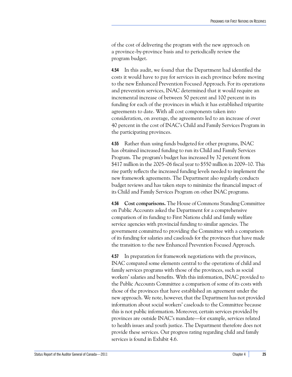of the cost of delivering the program with the new approach on a province-by-province basis and to periodically review the program budget.

**4.54** In this audit, we found that the Department had identified the costs it would have to pay for services in each province before moving to the new Enhanced Prevention Focused Approach. For its operations and prevention services, INAC determined that it would require an incremental increase of between 50 percent and 100 percent in its funding for each of the provinces in which it has established tripartite agreements to date. With all cost components taken into consideration, on average, the agreements led to an increase of over 40 percent in the cost of INAC's Child and Family Services Program in the participating provinces.

**4.55** Rather than using funds budgeted for other programs, INAC has obtained increased funding to run its Child and Family Services Program. The program's budget has increased by 32 percent from \$417 million in the 2005–06 fiscal year to \$550 million in 2009–10. This rise partly reflects the increased funding levels needed to implement the new framework agreements. The Department also regularly conducts budget reviews and has taken steps to minimize the financial impact of its Child and Family Services Program on other INAC programs.

**4.56 Cost comparisons.** The House of Commons Standing Committee on Public Accounts asked the Department for a comprehensive comparison of its funding to First Nations child and family welfare service agencies with provincial funding to similar agencies. The government committed to providing the Committee with a comparison of its funding for salaries and caseloads for the provinces that have made the transition to the new Enhanced Prevention Focused Approach.

**4.57** In preparation for framework negotiations with the provinces, INAC compared some elements central to the operations of child and family services programs with those of the provinces, such as social workers' salaries and benefits. With this information, INAC provided to the Public Accounts Committee a comparison of some of its costs with those of the provinces that have established an agreement under the new approach. We note, however, that the Department has not provided information about social workers' caseloads to the Committee because this is not public information. Moreover, certain services provided by provinces are outside INAC's mandate—for example, services related to health issues and youth justice. The Department therefore does not provide these services. Our progress rating regarding child and family services is found in Exhibit 4.6.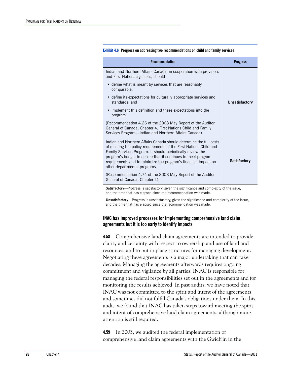#### **Exhibit 4.6 Progress on addressing two recommendations on child and family services**

| <b>Recommendation</b>                                                                                                                                                                                                                                                                                                                                                   | <b>Progress</b>     |
|-------------------------------------------------------------------------------------------------------------------------------------------------------------------------------------------------------------------------------------------------------------------------------------------------------------------------------------------------------------------------|---------------------|
| Indian and Northern Affairs Canada, in cooperation with provinces<br>and First Nations agencies, should                                                                                                                                                                                                                                                                 |                     |
| • define what is meant by services that are reasonably<br>comparable,                                                                                                                                                                                                                                                                                                   |                     |
| • define its expectations for culturally appropriate services and<br>standards, and                                                                                                                                                                                                                                                                                     | Unsatisfactory      |
| • implement this definition and these expectations into the<br>program.                                                                                                                                                                                                                                                                                                 |                     |
| (Recommendation 4.26 of the 2008 May Report of the Auditor<br>General of Canada, Chapter 4, First Nations Child and Family<br>Services Program—Indian and Northern Affairs Canada)                                                                                                                                                                                      |                     |
| Indian and Northern Affairs Canada should determine the full costs<br>of meeting the policy requirements of the First Nations Child and<br>Family Services Program. It should periodically review the<br>program's budget to ensure that it continues to meet program<br>requirements and to minimize the program's financial impact on<br>other departmental programs. | <b>Satisfactory</b> |
| (Recommendation 4.74 of the 2008 May Report of the Auditor<br>General of Canada, Chapter 4)                                                                                                                                                                                                                                                                             |                     |

**Satisfactory**—Progress is satisfactory, given the significance and complexity of the issue, and the time that has elapsed since the recommendation was made.

**Unsatisfactory**—Progress is unsatisfactory, given the significance and complexity of the issue, and the time that has elapsed since the recommendation was made.

#### <span id="page-31-0"></span>**INAC has improved processes for implementing comprehensive land claim agreements but it is too early to identify impacts**

**4.58** Comprehensive land claim agreements are intended to provide clarity and certainty with respect to ownership and use of land and resources, and to put in place structures for managing development. Negotiating these agreements is a major undertaking that can take decades. Managing the agreements afterwards requires ongoing commitment and vigilance by all parties. INAC is responsible for managing the federal responsibilities set out in the agreements and for monitoring the results achieved. In past audits, we have noted that INAC was not committed to the spirit and intent of the agreements and sometimes did not fulfill Canada's obligations under them. In this audit, we found that INAC has taken steps toward meeting the spirit and intent of comprehensive land claim agreements, although more attention is still required.

**4.59** In 2003, we audited the federal implementation of comprehensive land claim agreements with the Gwich'in in the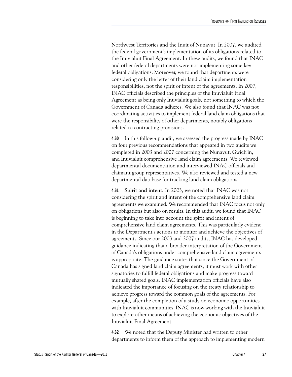Northwest Territories and the Inuit of Nunavut. In 2007, we audited the federal government's implementation of its obligations related to the Inuvialuit Final Agreement. In these audits, we found that INAC and other federal departments were not implementing some key federal obligations. Moreover, we found that departments were considering only the letter of their land claim implementation responsibilities, not the spirit or intent of the agreements. In 2007, INAC officials described the principles of the Inuvialuit Final Agreement as being only Inuvialuit goals, not something to which the Government of Canada adheres. We also found that INAC was not coordinating activities to implement federal land claim obligations that were the responsibility of other departments, notably obligations related to contracting provisions.

**4.60** In this follow-up audit, we assessed the progress made by INAC on four previous recommendations that appeared in two audits we completed in 2003 and 2007 concerning the Nunavut, Gwich'in, and Inuvialuit comprehensive land claim agreements. We reviewed departmental documentation and interviewed INAC officials and claimant group representatives. We also reviewed and tested a new departmental database for tracking land claim obligations.

**4.61 Spirit and intent.** In 2003, we noted that INAC was not considering the spirit and intent of the comprehensive land claim agreements we examined. We recommended that INAC focus not only on obligations but also on results. In this audit, we found that INAC is beginning to take into account the spirit and intent of comprehensive land claim agreements. This was particularly evident in the Department's actions to monitor and achieve the objectives of agreements. Since our 2003 and 2007 audits, INAC has developed guidance indicating that a broader interpretation of the Government of Canada's obligations under comprehensive land claim agreements is appropriate. The guidance states that since the Government of Canada has signed land claim agreements, it must work with other signatories to fulfill federal obligations and make progress toward mutually shared goals. INAC implementation officials have also indicated the importance of focusing on the treaty relationship to achieve progress toward the common goals of the agreements. For example, after the completion of a study on economic opportunities with Inuvialuit communities, INAC is now working with the Inuvialuit to explore other means of achieving the economic objectives of the Inuvialuit Final Agreement.

**4.62** We noted that the Deputy Minister had written to other departments to inform them of the approach to implementing modern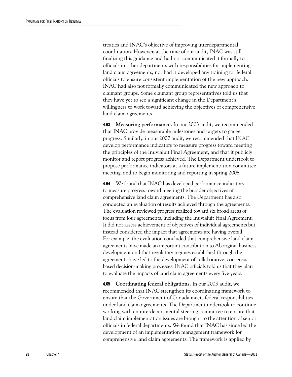treaties and INAC's objective of improving interdepartmental coordination. However, at the time of our audit, INAC was still finalizing this guidance and had not communicated it formally to officials in other departments with responsibilities for implementing land claim agreements; nor had it developed any training for federal officials to ensure consistent implementation of the new approach. INAC had also not formally communicated the new approach to claimant groups. Some claimant group representatives told us that they have yet to see a significant change in the Department's willingness to work toward achieving the objectives of comprehensive land claim agreements.

**4.63 Measuring performance.** In our 2003 audit, we recommended that INAC provide measurable milestones and targets to gauge progress. Similarly, in our 2007 audit, we recommended that INAC develop performance indicators to measure progress toward meeting the principles of the Inuvialuit Final Agreement, and that it publicly monitor and report progress achieved. The Department undertook to propose performance indicators at a future implementation committee meeting, and to begin monitoring and reporting in spring 2008.

**4.64** We found that INAC has developed performance indicators to measure progress toward meeting the broader objectives of comprehensive land claim agreements. The Department has also conducted an evaluation of results achieved through the agreements. The evaluation reviewed progress realized toward six broad areas of focus from four agreements, including the Inuvialuit Final Agreement. It did not assess achievement of objectives of individual agreements but instead considered the impact that agreements are having overall. For example, the evaluation concluded that comprehensive land claim agreements have made an important contribution to Aboriginal business development and that regulatory regimes established through the agreements have led to the development of collaborative, consensusbased decision-making processes. INAC officials told us that they plan to evaluate the impacts of land claim agreements every five years.

**4.65 Coordinating federal obligations.** In our 2003 audit, we recommended that INAC strengthen its coordinating framework to ensure that the Government of Canada meets federal responsibilities under land claim agreements. The Department undertook to continue working with an interdepartmental steering committee to ensure that land claim implementation issues are brought to the attention of senior officials in federal departments. We found that INAC has since led the development of an implementation management framework for comprehensive land claim agreements. The framework is applied by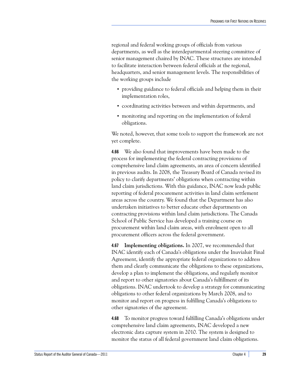regional and federal working groups of officials from various departments, as well as the interdepartmental steering committee of senior management chaired by INAC. These structures are intended to facilitate interaction between federal officials at the regional, headquarters, and senior management levels. The responsibilities of the working groups include

- **•** providing guidance to federal officials and helping them in their implementation roles,
- **•** coordinating activities between and within departments, and
- **•** monitoring and reporting on the implementation of federal obligations.

We noted, however, that some tools to support the framework are not yet complete.

**4.66** We also found that improvements have been made to the process for implementing the federal contracting provisions of comprehensive land claim agreements, an area of concern identified in previous audits. In 2008, the Treasury Board of Canada revised its policy to clarify departments' obligations when contracting within land claim jurisdictions. With this guidance, INAC now leads public reporting of federal procurement activities in land claim settlement areas across the country. We found that the Department has also undertaken initiatives to better educate other departments on contracting provisions within land claim jurisdictions. The Canada School of Public Service has developed a training course on procurement within land claim areas, with enrolment open to all procurement officers across the federal government.

**4.67 Implementing obligations.** In 2007, we recommended that INAC identify each of Canada's obligations under the Inuvialuit Final Agreement, identify the appropriate federal organizations to address them and clearly communicate the obligations to these organizations, develop a plan to implement the obligations, and regularly monitor and report to other signatories about Canada's fulfillment of its obligations. INAC undertook to develop a strategy for communicating obligations to other federal organizations by March 2008, and to monitor and report on progress in fulfilling Canada's obligations to other signatories of the agreement.

**4.68** To monitor progress toward fulfilling Canada's obligations under comprehensive land claim agreements, INAC developed a new electronic data capture system in 2010. The system is designed to monitor the status of all federal government land claim obligations.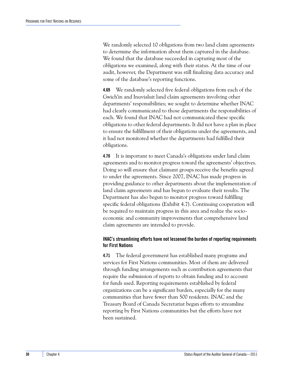We randomly selected 10 obligations from two land claim agreements to determine the information about them captured in the database. We found that the database succeeded in capturing most of the obligations we examined, along with their status. At the time of our audit, however, the Department was still finalizing data accuracy and some of the database's reporting functions.

**4.69** We randomly selected five federal obligations from each of the Gwich'in and Inuvialuit land claim agreements involving other departments' responsibilities; we sought to determine whether INAC had clearly communicated to those departments the responsibilities of each. We found that INAC had not communicated these specific obligations to other federal departments. It did not have a plan in place to ensure the fulfillment of their obligations under the agreements, and it had not monitored whether the departments had fulfilled their obligations.

**4.70** It is important to meet Canada's obligations under land claim agreements and to monitor progress toward the agreements' objectives. Doing so will ensure that claimant groups receive the benefits agreed to under the agreements. Since 2007, INAC has made progress in providing guidance to other departments about the implementation of land claim agreements and has begun to evaluate their results. The Department has also begun to monitor progress toward fulfilling specific federal obligations (Exhibit 4.7). Continuing cooperation will be required to maintain progress in this area and realize the socioeconomic and community improvements that comprehensive land claim agreements are intended to provide.

#### <span id="page-35-0"></span>**INAC's streamlining efforts have not lessened the burden of reporting requirements for First Nations**

**4.71** The federal government has established many programs and services for First Nations communities. Most of them are delivered through funding arrangements such as contribution agreements that require the submission of reports to obtain funding and to account for funds used. Reporting requirements established by federal organizations can be a significant burden, especially for the many communities that have fewer than 500 residents. INAC and the Treasury Board of Canada Secretariat began efforts to streamline reporting by First Nations communities but the efforts have not been sustained.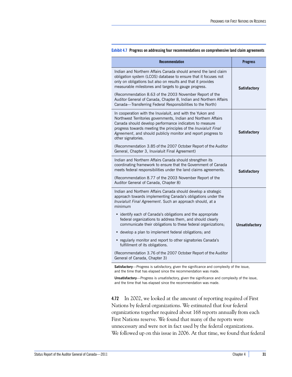| <b>Recommendation</b>                                                                                                                                                                                                                                                                                                                             | <b>Progress</b>     |
|---------------------------------------------------------------------------------------------------------------------------------------------------------------------------------------------------------------------------------------------------------------------------------------------------------------------------------------------------|---------------------|
| Indian and Northern Affairs Canada should amend the land claim<br>obligation system (LCOS) database to ensure that it focuses not<br>only on obligations but also on results and that it provides<br>measurable milestones and targets to gauge progress.                                                                                         | <b>Satisfactory</b> |
| (Recommendation 8.63 of the 2003 November Report of the<br>Auditor General of Canada, Chapter 8, Indian and Northern Affairs<br>Canada-Transferring Federal Responsibilities to the North)                                                                                                                                                        |                     |
| In cooperation with the Inuvialuit, and with the Yukon and<br>Northwest Territories governments, Indian and Northern Affairs<br>Canada should develop performance indicators to measure<br>progress towards meeting the principles of the Inuvialuit Final<br>Agreement, and should publicly monitor and report progress to<br>other signatories. | <b>Satisfactory</b> |
| (Recommendation 3.85 of the 2007 October Report of the Auditor<br>General, Chapter 3, Inuvialuit Final Agreement)                                                                                                                                                                                                                                 |                     |
| Indian and Northern Affairs Canada should strengthen its<br>coordinating framework to ensure that the Government of Canada<br>meets federal responsibilities under the land claims agreements.                                                                                                                                                    | <b>Satisfactory</b> |
| (Recommendation 8.77 of the 2003 November Report of the<br>Auditor General of Canada, Chapter 8)                                                                                                                                                                                                                                                  |                     |
| Indian and Northern Affairs Canada should develop a strategic<br>approach towards implementing Canada's obligations under the<br>Inuvialuit Final Agreement. Such an approach should, at a<br>minimum                                                                                                                                             |                     |
| • identify each of Canada's obligations and the appropriate<br>federal organizations to address them, and should clearly<br>communicate their obligations to these federal organizations;                                                                                                                                                         | Unsatisfactory      |
| • develop a plan to implement federal obligations; and                                                                                                                                                                                                                                                                                            |                     |
| • regularly monitor and report to other signatories Canada's<br>fulfillment of its obligations.                                                                                                                                                                                                                                                   |                     |
| (Recommendation 3.76 of the 2007 October Report of the Auditor<br>General of Canada, Chapter 3)                                                                                                                                                                                                                                                   |                     |

#### **Exhibit 4.7 Progress on addressing four recommendations on comprehensive land claim agreements**

**Satisfactory**—Progress is satisfactory, given the significance and complexity of the issue, and the time that has elapsed since the recommendation was made.

**Unsatisfactory**—Progress is unsatisfactory, given the significance and complexity of the issue, and the time that has elapsed since the recommendation was made.

**4.72** In 2002, we looked at the amount of reporting required of First Nations by federal organizations. We estimated that four federal organizations together required about 168 reports annually from each First Nations reserve. We found that many of the reports were unnecessary and were not in fact used by the federal organizations. We followed up on this issue in 2006. At that time, we found that federal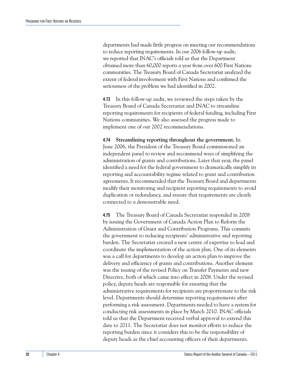departments had made little progress on meeting our recommendations to reduce reporting requirements. In our 2006 follow-up audit, we reported that INAC's officials told us that the Department obtained more than 60,000 reports a year from over 600 First Nations communities. The Treasury Board of Canada Secretariat analyzed the extent of federal involvement with First Nations and confirmed the seriousness of the problem we had identified in 2002.

**4.73** In this follow-up audit, we reviewed the steps taken by the Treasury Board of Canada Secretariat and INAC to streamline reporting requirements for recipients of federal funding, including First Nations communities. We also assessed the progress made to implement one of our 2002 recommendations.

**4.74 Streamlining reporting throughout the government.** In June 2006, the President of the Treasury Board commissioned an independent panel to review and recommend ways of simplifying the administration of grants and contributions. Later that year, the panel identified a need for the federal government to dramatically simplify its reporting and accountability regime related to grant and contribution agreements. It recommended that the Treasury Board and departments modify their monitoring and recipient reporting requirements to avoid duplication or redundancy, and ensure that requirements are clearly connected to a demonstrable need.

**4.75** The Treasury Board of Canada Secretariat responded in 2008 by issuing the Government of Canada Action Plan to Reform the Administration of Grant and Contribution Programs. This commits the government to reducing recipients' administrative and reporting burden. The Secretariat created a new centre of expertise to lead and coordinate the implementation of the action plan. One of its elements was a call for departments to develop an action plan to improve the delivery and efficiency of grants and contributions. Another element was the issuing of the revised Policy on Transfer Payments and new Directive, both of which came into effect in 2008. Under the revised policy, deputy heads are responsible for ensuring that the administrative requirements for recipients are proportionate to the risk level. Departments should determine reporting requirements after performing a risk assessment. Departments needed to have a system for conducting risk assessments in place by March 2010. INAC officials told us that the Department received verbal approval to extend this date to 2011. The Secretariat does not monitor efforts to reduce the reporting burden since it considers this to be the responsibility of deputy heads as the chief accounting officers of their departments.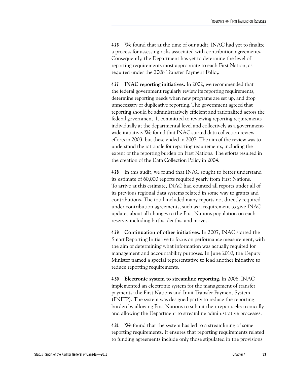**4.76** We found that at the time of our audit, INAC had yet to finalize a process for assessing risks associated with contribution agreements. Consequently, the Department has yet to determine the level of reporting requirements most appropriate to each First Nation, as required under the 2008 Transfer Payment Policy.

**4.77 INAC reporting initiatives.** In 2002, we recommended that the federal government regularly review its reporting requirements, determine reporting needs when new programs are set up, and drop unnecessary or duplicative reporting. The government agreed that reporting should be administratively efficient and rationalized across the federal government. It committed to reviewing reporting requirements individually at the departmental level and collectively as a governmentwide initiative. We found that INAC started data collection review efforts in 2003, but these ended in 2007. The aim of the review was to understand the rationale for reporting requirements, including the extent of the reporting burden on First Nations. The efforts resulted in the creation of the Data Collection Policy in 2004.

**4.78** In this audit, we found that INAC sought to better understand its estimate of 60,000 reports required yearly from First Nations. To arrive at this estimate, INAC had counted all reports under all of its previous regional data systems related in some way to grants and contributions. The total included many reports not directly required under contribution agreements, such as a requirement to give INAC updates about all changes to the First Nations population on each reserve, including births, deaths, and moves.

**4.79 Continuation of other initiatives.** In 2007, INAC started the Smart Reporting Initiative to focus on performance measurement, with the aim of determining what information was actually required for management and accountability purposes. In June 2010, the Deputy Minister named a special representative to lead another initiative to reduce reporting requirements.

**4.80 Electronic system to streamline reporting.** In 2006, INAC implemented an electronic system for the management of transfer payments: the First Nations and Inuit Transfer Payment System (FNITP). The system was designed partly to reduce the reporting burden by allowing First Nations to submit their reports electronically and allowing the Department to streamline administrative processes.

**4.81** We found that the system has led to a streamlining of some reporting requirements. It ensures that reporting requirements related to funding agreements include only those stipulated in the provisions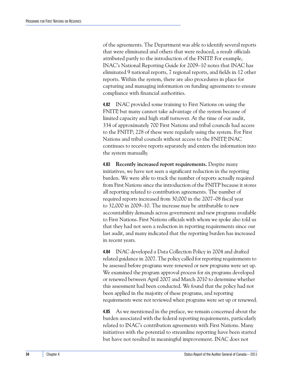of the agreements. The Department was able to identify several reports that were eliminated and others that were reduced, a result officials attributed partly to the introduction of the FNITP. For example, INAC's National Reporting Guide for 2009–10 notes that INAC has eliminated 9 national reports, 7 regional reports, and fields in 12 other reports. Within the system, there are also procedures in place for capturing and managing information on funding agreements to ensure compliance with financial authorities.

**4.82** INAC provided some training to First Nations on using the FNITP, but many cannot take advantage of the system because of limited capacity and high staff turnover. At the time of our audit, 334 of approximately 700 First Nations and tribal councils had access to the FNITP; 228 of these were regularly using the system. For First Nations and tribal councils without access to the FNITP, INAC continues to receive reports separately and enters the information into the system manually.

**4.83 Recently increased report requirements.** Despite many initiatives, we have not seen a significant reduction in the reporting burden. We were able to track the number of reports actually required from First Nations since the introduction of the FNITP because it stores all reporting related to contribution agreements. The number of required reports increased from 30,000 in the 2007–08 fiscal year to 32,000 in 2009–10. The increase may be attributable to new accountability demands across government and new programs available to First Nations. First Nations officials with whom we spoke also told us that they had not seen a reduction in reporting requirements since our last audit, and many indicated that the reporting burden has increased in recent years.

**4.84** INAC developed a Data Collection Policy in 2004 and drafted related guidance in 2007. The policy called for reporting requirements to be assessed before programs were renewed or new programs were set up. We examined the program approval process for six programs developed or renewed between April 2007 and March 2010 to determine whether this assessment had been conducted. We found that the policy had not been applied in the majority of these programs, and reporting requirements were not reviewed when programs were set up or renewed.

**4.85** As we mentioned in the preface, we remain concerned about the burden associated with the federal reporting requirements, particularly related to INAC's contribution agreements with First Nations. Many initiatives with the potential to streamline reporting have been started but have not resulted in meaningful improvement. INAC does not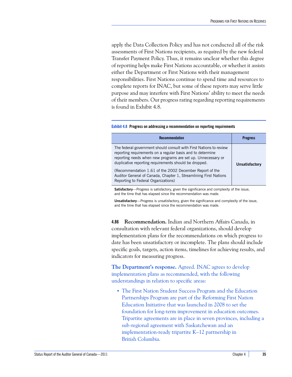apply the Data Collection Policy and has not conducted all of the risk assessments of First Nations recipients, as required by the new federal Transfer Payment Policy. Thus, it remains unclear whether this degree of reporting helps make First Nations accountable, or whether it assists either the Department or First Nations with their management responsibilities. First Nations continue to spend time and resources to complete reports for INAC, but some of these reports may serve little purpose and may interfere with First Nations' ability to meet the needs of their members. Our progress rating regarding reporting requirements is found in Exhibit 4.8.

#### **Exhibit 4.8 Progress on addressing a recommendation on reporting requirements**

| Recommendation                                                                                                                                                                                                                                            | <b>Progress</b> |
|-----------------------------------------------------------------------------------------------------------------------------------------------------------------------------------------------------------------------------------------------------------|-----------------|
| The federal government should consult with First Nations to review<br>reporting requirements on a regular basis and to determine<br>reporting needs when new programs are set up. Unnecessary or<br>duplicative reporting requirements should be dropped. | Unsatisfactory  |
| (Recommendation 1.61 of the 2002 December Report of the<br>Auditor General of Canada, Chapter 1, Streamlining First Nations<br>Reporting to Federal Organizations)                                                                                        |                 |

**Satisfactory**—Progress is satisfactory, given the significance and complexity of the issue, and the time that has elapsed since the recommendation was made.

**Unsatisfactory**—Progress is unsatisfactory, given the significance and complexity of the issue, and the time that has elapsed since the recommendation was made.

**4.86 Recommendation.** Indian and Northern Affairs Canada, in consultation with relevant federal organizations, should develop implementation plans for the recommendations on which progress to date has been unsatisfactory or incomplete. The plans should include specific goals, targets, action items, timelines for achieving results, and indicators for measuring progress.

**The Department's response.** Agreed. INAC agrees to develop implementation plans as recommended, with the following understandings in relation to specific areas:

**•** The First Nation Student Success Program and the Education Partnerships Program are part of the Reforming First Nation Education Initiative that was launched in 2008 to set the foundation for long-term improvement in education outcomes. Tripartite agreements are in place in seven provinces, including a sub-regional agreement with Saskatchewan and an implementation-ready tripartite K–12 partnership in British Columbia.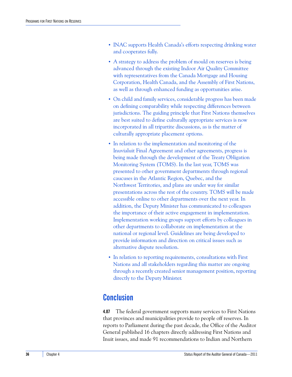- **•** INAC supports Health Canada's efforts respecting drinking water and cooperates fully.
- **•** A strategy to address the problem of mould on reserves is being advanced through the existing Indoor Air Quality Committee with representatives from the Canada Mortgage and Housing Corporation, Health Canada, and the Assembly of First Nations, as well as through enhanced funding as opportunities arise.
- **•** On child and family services, considerable progress has been made on defining comparability while respecting differences between jurisdictions. The guiding principle that First Nations themselves are best suited to define culturally appropriate services is now incorporated in all tripartite discussions, as is the matter of culturally appropriate placement options.
- **•** In relation to the implementation and monitoring of the Inuvialuit Final Agreement and other agreements, progress is being made through the development of the Treaty Obligation Monitoring System (TOMS). In the last year, TOMS was presented to other government departments through regional caucuses in the Atlantic Region, Quebec, and the Northwest Territories, and plans are under way for similar presentations across the rest of the country. TOMS will be made accessible online to other departments over the next year. In addition, the Deputy Minister has communicated to colleagues the importance of their active engagement in implementation. Implementation working groups support efforts by colleagues in other departments to collaborate on implementation at the national or regional level. Guidelines are being developed to provide information and direction on critical issues such as alternative dispute resolution.
- **•** In relation to reporting requirements, consultations with First Nations and all stakeholders regarding this matter are ongoing through a recently created senior management position, reporting directly to the Deputy Minister.

### <span id="page-41-0"></span>**Conclusion**

**4.87** The federal government supports many services to First Nations that provinces and municipalities provide to people off reserves. In reports to Parliament during the past decade, the Office of the Auditor General published 16 chapters directly addressing First Nations and Inuit issues, and made 91 recommendations to Indian and Northern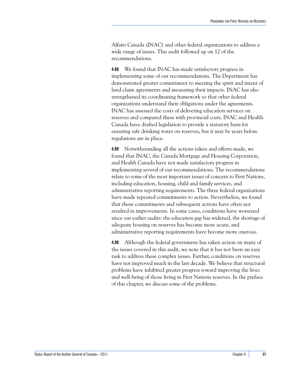Affairs Canada (INAC) and other federal organizations to address a wide range of issues. This audit followed up on 12 of the recommendations.

**4.88** We found that INAC has made satisfactory progress in implementing some of our recommendations. The Department has demonstrated greater commitment to meeting the spirit and intent of land claim agreements and measuring their impacts. INAC has also strengthened its coordinating framework so that other federal organizations understand their obligations under the agreements. INAC has assessed the costs of delivering education services on reserves and compared these with provincial costs. INAC and Health Canada have drafted legislation to provide a statutory basis for ensuring safe drinking water on reserves, but it may be years before regulations are in place.

**4.89** Notwithstanding all the actions taken and efforts made, we found that INAC, the Canada Mortgage and Housing Corporation, and Health Canada have not made satisfactory progress in implementing several of our recommendations. The recommendations relate to some of the most important issues of concern to First Nations, including education, housing, child and family services, and administrative reporting requirements. The three federal organizations have made repeated commitments to action. Nevertheless, we found that those commitments and subsequent actions have often not resulted in improvements. In some cases, conditions have worsened since our earlier audits: the education gap has widened, the shortage of adequate housing on reserves has become more acute, and administrative reporting requirements have become more onerous.

**4.90** Although the federal government has taken action on many of the issues covered in this audit, we note that it has not been an easy task to address these complex issues. Further, conditions on reserves have not improved much in the last decade. We believe that structural problems have inhibited greater progress toward improving the lives and well-being of those living in First Nations reserves. In the preface of this chapter, we discuss some of the problems.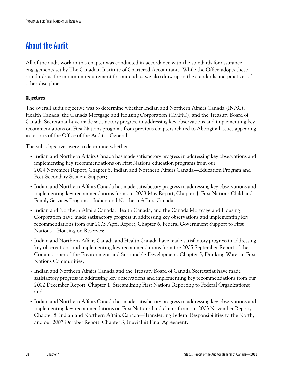### <span id="page-43-0"></span>**About the Audit**

All of the audit work in this chapter was conducted in accordance with the standards for assurance engagements set by The Canadian Institute of Chartered Accountants. While the Office adopts these standards as the minimum requirement for our audits, we also draw upon the standards and practices of other disciplines.

### **Objectives**

The overall audit objective was to determine whether Indian and Northern Affairs Canada (INAC), Health Canada, the Canada Mortgage and Housing Corporation (CMHC), and the Treasury Board of Canada Secretariat have made satisfactory progress in addressing key observations and implementing key recommendations on First Nations programs from previous chapters related to Aboriginal issues appearing in reports of the Office of the Auditor General.

The sub-objectives were to determine whether

- **•** Indian and Northern Affairs Canada has made satisfactory progress in addressing key observations and implementing key recommendations on First Nations education programs from our 2004 November Report, Chapter 5, Indian and Northern Affairs Canada—Education Program and Post-Secondary Student Support;
- **•** Indian and Northern Affairs Canada has made satisfactory progress in addressing key observations and implementing key recommendations from our 2008 May Report, Chapter 4, First Nations Child and Family Services Program—Indian and Northern Affairs Canada;
- **•** Indian and Northern Affairs Canada, Health Canada, and the Canada Mortgage and Housing Corporation have made satisfactory progress in addressing key observations and implementing key recommendations from our 2003 April Report, Chapter 6, Federal Government Support to First Nations—Housing on Reserves;
- **•** Indian and Northern Affairs Canada and Health Canada have made satisfactory progress in addressing key observations and implementing key recommendations from the 2005 September Report of the Commissioner of the Environment and Sustainable Development, Chapter 5, Drinking Water in First Nations Communities;
- **•** Indian and Northern Affairs Canada and the Treasury Board of Canada Secretariat have made satisfactory progress in addressing key observations and implementing key recommendations from our 2002 December Report, Chapter 1, Streamlining First Nations Reporting to Federal Organizations; and
- **•** Indian and Northern Affairs Canada has made satisfactory progress in addressing key observations and implementing key recommendations on First Nations land claims from our 2003 November Report, Chapter 8, Indian and Northern Affairs Canada—Transferring Federal Responsibilities to the North, and our 2007 October Report, Chapter 3, Inuvialuit Final Agreement.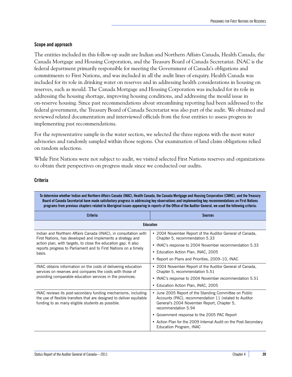#### **Scope and approach**

The entities included in this follow-up audit are Indian and Northern Affairs Canada, Health Canada, the Canada Mortgage and Housing Corporation, and the Treasury Board of Canada Secretariat. INAC is the federal department primarily responsible for meeting the Government of Canada's obligations and commitments to First Nations, and was included in all the audit lines of enquiry. Health Canada was included for its role in drinking water on reserves and in addressing health considerations in housing on reserves, such as mould. The Canada Mortgage and Housing Corporation was included for its role in addressing the housing shortage, improving housing conditions, and addressing the mould issue in on-reserve housing. Since past recommendations about streamlining reporting had been addressed to the federal government, the Treasury Board of Canada Secretariat was also part of the audit. We obtained and reviewed related documentation and interviewed officials from the four entities to assess progress in implementing past recommendations.

For the representative sample in the water section, we selected the three regions with the most water advisories and randomly sampled within those regions. Our examination of land claim obligations relied on random selections.

While First Nations were not subject to audit, we visited selected First Nations reserves and organizations to obtain their perspectives on progress made since we conducted our audits.

#### **Criteria**

| To determine whether Indian and Northern Affairs Canada (INAC), Health Canada, the Canada Mortgage and Housing Corporation (CMHC), and the Treasury<br>Board of Canada Secretariat have made satisfactory progress in addressing key observations and implementing key recommendations on First Nations<br>programs from previous chapters related to Aboriginal issues appearing in reports of the Office of the Auditor General, we used the following criteria: |                                                                                                                                                                                      |  |
|--------------------------------------------------------------------------------------------------------------------------------------------------------------------------------------------------------------------------------------------------------------------------------------------------------------------------------------------------------------------------------------------------------------------------------------------------------------------|--------------------------------------------------------------------------------------------------------------------------------------------------------------------------------------|--|
| <b>Criteria</b>                                                                                                                                                                                                                                                                                                                                                                                                                                                    | <b>Sources</b>                                                                                                                                                                       |  |
| <b>Education</b>                                                                                                                                                                                                                                                                                                                                                                                                                                                   |                                                                                                                                                                                      |  |
| Indian and Northern Affairs Canada (INAC), in consultation with<br>First Nations, has developed and implements a strategy and<br>action plan, with targets, to close the education gap. It also<br>reports progress to Parliament and to First Nations on a timely<br>basis.                                                                                                                                                                                       | • 2004 November Report of the Auditor General of Canada,<br>Chapter 5, recommendation 5.33                                                                                           |  |
|                                                                                                                                                                                                                                                                                                                                                                                                                                                                    | • INAC's response to 2004 November recommendation 5.33                                                                                                                               |  |
|                                                                                                                                                                                                                                                                                                                                                                                                                                                                    | Education Action Plan, INAC, 2005<br>٠                                                                                                                                               |  |
|                                                                                                                                                                                                                                                                                                                                                                                                                                                                    | • Report on Plans and Priorities, 2009–10, INAC                                                                                                                                      |  |
| INAC obtains information on the costs of delivering education<br>services on reserves and compares the costs with those of                                                                                                                                                                                                                                                                                                                                         | • 2004 November Report of the Auditor General of Canada,<br>Chapter 5, recommendation 5.51                                                                                           |  |
| providing comparable education services in the provinces.                                                                                                                                                                                                                                                                                                                                                                                                          | • INAC's response to 2004 November recommendation 5.51                                                                                                                               |  |
|                                                                                                                                                                                                                                                                                                                                                                                                                                                                    | Education Action Plan, INAC, 2005<br>٠                                                                                                                                               |  |
| INAC reviews its post-secondary funding mechanisms, including<br>the use of flexible transfers that are designed to deliver equitable<br>funding to as many eligible students as possible.                                                                                                                                                                                                                                                                         | • June 2005 Report of the Standing Committee on Public<br>Accounts (PAC), recommendation 11 (related to Auditor<br>General's 2004 November Report, Chapter 5,<br>recommendation 5.94 |  |
|                                                                                                                                                                                                                                                                                                                                                                                                                                                                    | • Government response to the 2005 PAC Report                                                                                                                                         |  |
|                                                                                                                                                                                                                                                                                                                                                                                                                                                                    | • Action Plan for the 2009 Internal Audit on the Post-Secondary<br>Education Program, INAC                                                                                           |  |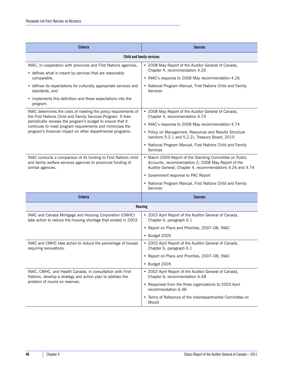| <b>Criteria</b>                                                                                                                                          | <b>Sources</b>                                                                                                                                                             |  |
|----------------------------------------------------------------------------------------------------------------------------------------------------------|----------------------------------------------------------------------------------------------------------------------------------------------------------------------------|--|
| Child and family services                                                                                                                                |                                                                                                                                                                            |  |
| INAC, in cooperation with provinces and First Nations agencies,                                                                                          | • 2008 May Report of the Auditor General of Canada,                                                                                                                        |  |
| • defines what is meant by services that are reasonably<br>comparable,                                                                                   | Chapter 4, recommendation 4.26<br>• INAC's response to 2008 May recommendation 4.26                                                                                        |  |
| • defines its expectations for culturally appropriate services and<br>standards, and                                                                     | • National Program Manual, First Nations Child and Family<br><b>Services</b>                                                                                               |  |
| • implements this definition and these expectations into the<br>program.                                                                                 |                                                                                                                                                                            |  |
| INAC determines the costs of meeting the policy requirements of<br>the First Nations Child and Family Services Program. It then                          | • 2008 May Report of the Auditor General of Canada,<br>Chapter 4, recommendation 4.74                                                                                      |  |
| periodically reviews the program's budget to ensure that it<br>continues to meet program requirements and minimizes the                                  | • INAC's response to 2008 May recommendation 4.74                                                                                                                          |  |
| program's financial impact on other departmental programs.                                                                                               | • Policy on Management, Resources and Results Structure<br>(sections 5.2.1 and 5.2.2), Treasury Board, 2010                                                                |  |
|                                                                                                                                                          | • National Program Manual, First Nations Child and Family<br><b>Services</b>                                                                                               |  |
| INAC conducts a comparison of its funding to First Nations child<br>and family welfare services agencies to provincial funding of<br>similar agencies.   | • March 2009 Report of the Standing Committee on Public<br>Accounts, recommendation 2; 2008 May Report of the<br>Auditor General, Chapter 4, recommendations 4.26 and 4.74 |  |
|                                                                                                                                                          | • Government response to PAC Report                                                                                                                                        |  |
|                                                                                                                                                          | • National Program Manual, First Nations Child and Family<br><b>Services</b>                                                                                               |  |
| <b>Criteria</b>                                                                                                                                          | <b>Sources</b>                                                                                                                                                             |  |
| <b>Housing</b>                                                                                                                                           |                                                                                                                                                                            |  |
| INAC and Canada Mortgage and Housing Corporation (CMHC)<br>take action to reduce the housing shortage that existed in 2003.                              | • 2003 April Report of the Auditor General of Canada,<br>Chapter 6, paragraph 6.1                                                                                          |  |
|                                                                                                                                                          | • Report on Plans and Priorities, 2007-08, INAC                                                                                                                            |  |
|                                                                                                                                                          | • Budget 2005                                                                                                                                                              |  |
| INAC and CMHC take action to reduce the percentage of houses<br>requiring renovations.                                                                   | • 2003 April Report of the Auditor General of Canada,<br>Chapter 6, paragraph 6.1                                                                                          |  |
|                                                                                                                                                          | • Report on Plans and Priorities, 2007–08, INAC                                                                                                                            |  |
|                                                                                                                                                          | • Budget 2005                                                                                                                                                              |  |
| INAC, CMHC, and Health Canada, in consultation with First<br>Nations, develop a strategy and action plan to address the<br>problem of mould on reserves. | • 2003 April Report of the Auditor General of Canada,<br>Chapter 6, recommendation 6.48                                                                                    |  |
|                                                                                                                                                          | • Responses from the three organizations to 2003 April<br>recommendation 6.48                                                                                              |  |
|                                                                                                                                                          | • Terms of Reference of the Interdepartmental Committee on<br>Mould                                                                                                        |  |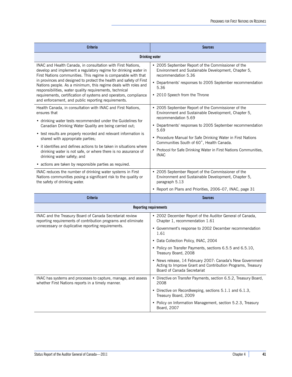| <b>Criteria</b>                                                                                                                                                                                                                                                                                                                                                                                                                                                                                                                                                                                                                                                                                                 | <b>Sources</b>                                                                                                                                                                                                                                                                                                                                                                                                                                                                                                                                                                                 |  |
|-----------------------------------------------------------------------------------------------------------------------------------------------------------------------------------------------------------------------------------------------------------------------------------------------------------------------------------------------------------------------------------------------------------------------------------------------------------------------------------------------------------------------------------------------------------------------------------------------------------------------------------------------------------------------------------------------------------------|------------------------------------------------------------------------------------------------------------------------------------------------------------------------------------------------------------------------------------------------------------------------------------------------------------------------------------------------------------------------------------------------------------------------------------------------------------------------------------------------------------------------------------------------------------------------------------------------|--|
| <b>Drinking water</b>                                                                                                                                                                                                                                                                                                                                                                                                                                                                                                                                                                                                                                                                                           |                                                                                                                                                                                                                                                                                                                                                                                                                                                                                                                                                                                                |  |
| INAC and Health Canada, in consultation with First Nations,<br>develop and implement a regulatory regime for drinking water in<br>First Nations communities. This regime is comparable with that<br>in provinces and designed to protect the health and safety of First<br>Nations people. As a minimum, this regime deals with roles and<br>responsibilities, water quality requirements, technical<br>requirements, certification of systems and operators, compliance<br>and enforcement, and public reporting requirements.                                                                                                                                                                                 | • 2005 September Report of the Commissioner of the<br>Environment and Sustainable Development, Chapter 5,<br>recommendation 5.36<br>• Departments' responses to 2005 September recommendation<br>5.36<br>• 2010 Speech from the Throne                                                                                                                                                                                                                                                                                                                                                         |  |
| Health Canada, in consultation with INAC and First Nations,<br>ensures that<br>• drinking water tests recommended under the Guidelines for<br>Canadian Drinking Water Quality are being carried out;<br>• test results are properly recorded and relevant information is<br>shared with appropriate parties;<br>• it identifies and defines actions to be taken in situations where<br>drinking water is not safe, or where there is no assurance of<br>drinking water safety; and<br>• actions are taken by responsible parties as required.<br>INAC reduces the number of drinking water systems in First<br>Nations communities posing a significant risk to the quality or<br>the safety of drinking water. | • 2005 September Report of the Commissioner of the<br>Environment and Sustainable Development, Chapter 5,<br>recommendation 5.69<br>• Departments' responses to 2005 September recommendation<br>5.69<br>• Procedure Manual for Safe Drinking Water in First Nations<br>Communities South of 60°, Health Canada.<br>• Protocol for Safe Drinking Water in First Nations Communities,<br><b>INAC</b><br>• 2005 September Report of the Commissioner of the<br>Environment and Sustainable Development, Chapter 5,<br>paragraph 5.13<br>• Report on Plans and Priorities, 2006-07, INAC, page 31 |  |
| <b>Criteria</b>                                                                                                                                                                                                                                                                                                                                                                                                                                                                                                                                                                                                                                                                                                 | Sources                                                                                                                                                                                                                                                                                                                                                                                                                                                                                                                                                                                        |  |
|                                                                                                                                                                                                                                                                                                                                                                                                                                                                                                                                                                                                                                                                                                                 | <b>Reporting requirements</b>                                                                                                                                                                                                                                                                                                                                                                                                                                                                                                                                                                  |  |
| INAC and the Treasury Board of Canada Secretariat review<br>reporting requirements of contribution programs and eliminate<br>unnecessary or duplicative reporting requirements.                                                                                                                                                                                                                                                                                                                                                                                                                                                                                                                                 | • 2002 December Report of the Auditor General of Canada,<br>Chapter 1, recommendation 1.61<br>• Government's response to 2002 December recommendation<br>1.61<br>• Data Collection Policy, INAC, 2004<br>• Policy on Transfer Payments, sections 6.5.5 and 6.5.10,<br>Treasury Board, 2008<br>• News release, 14 February 2007: Canada's New Government<br>Acting to Improve Grant and Contribution Programs, Treasury<br>Board of Canada Secretariat                                                                                                                                          |  |
| INAC has systems and processes to capture, manage, and assess<br>whether First Nations reports in a timely manner.                                                                                                                                                                                                                                                                                                                                                                                                                                                                                                                                                                                              | • Directive on Transfer Payments, section 6.5.2, Treasury Board,<br>2008<br>• Directive on Recordkeeping, sections 5.1.1 and 6.1.3,<br>Treasury Board, 2009<br>• Policy on Information Management, section 5.2.3, Treasury<br>Board, 2007                                                                                                                                                                                                                                                                                                                                                      |  |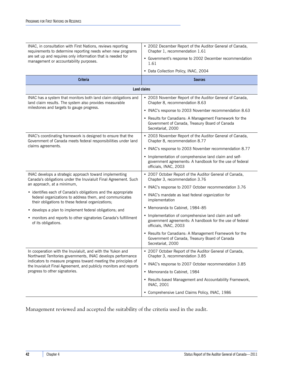| requirements to determine reporting needs when new programs<br>Chapter 1, recommendation 1.61<br>are set up and requires only information that is needed for<br>• Government's response to 2002 December recommendation<br>management or accountability purposes.<br>1.61<br>• Data Collection Policy, INAC, 2004<br><b>Criteria</b><br><b>Sources</b><br>Land claims<br>INAC has a system that monitors both land claim obligations and<br>• 2003 November Report of the Auditor General of Canada,<br>land claim results. The system also provides measurable<br>Chapter 8, recommendation 8.63<br>milestones and targets to gauge progress.<br>• INAC's response to 2003 November recommendation 8.63<br>• Results for Canadians: A Management Framework for the<br>Government of Canada, Treasury Board of Canada<br>Secretariat, 2000<br>INAC's coordinating framework is designed to ensure that the<br>• 2003 November Report of the Auditor General of Canada,<br>Government of Canada meets federal responsibilities under land<br>Chapter 8, recommendation 8.77<br>claims agreements.<br>• INAC's response to 2003 November recommendation 8.77<br>• Implementation of comprehensive land claim and self-<br>government agreements: A handbook for the use of federal<br>officials, INAC, 2003<br>INAC develops a strategic approach toward implementing<br>• 2007 October Report of the Auditor General of Canada,<br>Canada's obligations under the Inuvialuit Final Agreement. Such<br>Chapter 3, recommendation 3.76<br>an approach, at a minimum,<br>• INAC's response to 2007 October recommendation 3.76<br>• identifies each of Canada's obligations and the appropriate<br>• INAC's mandate as lead federal organization for<br>federal organizations to address them, and communicates<br>implementation<br>their obligations to these federal organizations;<br>• Memoranda to Cabinet, 1984-85<br>• develops a plan to implement federal obligations; and<br>• Implementation of comprehensive land claim and self-<br>• monitors and reports to other signatories Canada's fulfillment<br>government agreements: A handbook for the use of federal<br>of its obligations.<br>officials, INAC, 2003<br>• Results for Canadians: A Management Framework for the<br>Government of Canada, Treasury Board of Canada<br>Secretariat, 2000<br>• 2007 October Report of the Auditor General of Canada,<br>In cooperation with the Inuvialuit, and with the Yukon and<br>Northwest Territories governments, INAC develops performance<br>Chapter 3, recommendation 3.85<br>indicators to measure progress toward meeting the principles of<br>• INAC's response to 2007 October recommendation 3.85<br>the Inuvialuit Final Agreement, and publicly monitors and reports<br>progress to other signatories.<br>• Memoranda to Cabinet, 1984<br>• Results-based Management and Accountability Framework,<br><b>INAC, 2001</b><br>• Comprehensive Land Claims Policy, INAC, 1986 |                                                             |                                                          |  |
|-----------------------------------------------------------------------------------------------------------------------------------------------------------------------------------------------------------------------------------------------------------------------------------------------------------------------------------------------------------------------------------------------------------------------------------------------------------------------------------------------------------------------------------------------------------------------------------------------------------------------------------------------------------------------------------------------------------------------------------------------------------------------------------------------------------------------------------------------------------------------------------------------------------------------------------------------------------------------------------------------------------------------------------------------------------------------------------------------------------------------------------------------------------------------------------------------------------------------------------------------------------------------------------------------------------------------------------------------------------------------------------------------------------------------------------------------------------------------------------------------------------------------------------------------------------------------------------------------------------------------------------------------------------------------------------------------------------------------------------------------------------------------------------------------------------------------------------------------------------------------------------------------------------------------------------------------------------------------------------------------------------------------------------------------------------------------------------------------------------------------------------------------------------------------------------------------------------------------------------------------------------------------------------------------------------------------------------------------------------------------------------------------------------------------------------------------------------------------------------------------------------------------------------------------------------------------------------------------------------------------------------------------------------------------------------------------------------------------------------------------------------------------------------------------------------------------------------------------------------------------------------------------------------------------------------------------------------------------------------------------|-------------------------------------------------------------|----------------------------------------------------------|--|
|                                                                                                                                                                                                                                                                                                                                                                                                                                                                                                                                                                                                                                                                                                                                                                                                                                                                                                                                                                                                                                                                                                                                                                                                                                                                                                                                                                                                                                                                                                                                                                                                                                                                                                                                                                                                                                                                                                                                                                                                                                                                                                                                                                                                                                                                                                                                                                                                                                                                                                                                                                                                                                                                                                                                                                                                                                                                                                                                                                                               | INAC, in consultation with First Nations, reviews reporting | • 2002 December Report of the Auditor General of Canada, |  |
|                                                                                                                                                                                                                                                                                                                                                                                                                                                                                                                                                                                                                                                                                                                                                                                                                                                                                                                                                                                                                                                                                                                                                                                                                                                                                                                                                                                                                                                                                                                                                                                                                                                                                                                                                                                                                                                                                                                                                                                                                                                                                                                                                                                                                                                                                                                                                                                                                                                                                                                                                                                                                                                                                                                                                                                                                                                                                                                                                                                               |                                                             |                                                          |  |
|                                                                                                                                                                                                                                                                                                                                                                                                                                                                                                                                                                                                                                                                                                                                                                                                                                                                                                                                                                                                                                                                                                                                                                                                                                                                                                                                                                                                                                                                                                                                                                                                                                                                                                                                                                                                                                                                                                                                                                                                                                                                                                                                                                                                                                                                                                                                                                                                                                                                                                                                                                                                                                                                                                                                                                                                                                                                                                                                                                                               |                                                             |                                                          |  |
|                                                                                                                                                                                                                                                                                                                                                                                                                                                                                                                                                                                                                                                                                                                                                                                                                                                                                                                                                                                                                                                                                                                                                                                                                                                                                                                                                                                                                                                                                                                                                                                                                                                                                                                                                                                                                                                                                                                                                                                                                                                                                                                                                                                                                                                                                                                                                                                                                                                                                                                                                                                                                                                                                                                                                                                                                                                                                                                                                                                               |                                                             |                                                          |  |
|                                                                                                                                                                                                                                                                                                                                                                                                                                                                                                                                                                                                                                                                                                                                                                                                                                                                                                                                                                                                                                                                                                                                                                                                                                                                                                                                                                                                                                                                                                                                                                                                                                                                                                                                                                                                                                                                                                                                                                                                                                                                                                                                                                                                                                                                                                                                                                                                                                                                                                                                                                                                                                                                                                                                                                                                                                                                                                                                                                                               |                                                             |                                                          |  |
|                                                                                                                                                                                                                                                                                                                                                                                                                                                                                                                                                                                                                                                                                                                                                                                                                                                                                                                                                                                                                                                                                                                                                                                                                                                                                                                                                                                                                                                                                                                                                                                                                                                                                                                                                                                                                                                                                                                                                                                                                                                                                                                                                                                                                                                                                                                                                                                                                                                                                                                                                                                                                                                                                                                                                                                                                                                                                                                                                                                               |                                                             |                                                          |  |
|                                                                                                                                                                                                                                                                                                                                                                                                                                                                                                                                                                                                                                                                                                                                                                                                                                                                                                                                                                                                                                                                                                                                                                                                                                                                                                                                                                                                                                                                                                                                                                                                                                                                                                                                                                                                                                                                                                                                                                                                                                                                                                                                                                                                                                                                                                                                                                                                                                                                                                                                                                                                                                                                                                                                                                                                                                                                                                                                                                                               |                                                             |                                                          |  |
|                                                                                                                                                                                                                                                                                                                                                                                                                                                                                                                                                                                                                                                                                                                                                                                                                                                                                                                                                                                                                                                                                                                                                                                                                                                                                                                                                                                                                                                                                                                                                                                                                                                                                                                                                                                                                                                                                                                                                                                                                                                                                                                                                                                                                                                                                                                                                                                                                                                                                                                                                                                                                                                                                                                                                                                                                                                                                                                                                                                               |                                                             |                                                          |  |
|                                                                                                                                                                                                                                                                                                                                                                                                                                                                                                                                                                                                                                                                                                                                                                                                                                                                                                                                                                                                                                                                                                                                                                                                                                                                                                                                                                                                                                                                                                                                                                                                                                                                                                                                                                                                                                                                                                                                                                                                                                                                                                                                                                                                                                                                                                                                                                                                                                                                                                                                                                                                                                                                                                                                                                                                                                                                                                                                                                                               |                                                             |                                                          |  |
|                                                                                                                                                                                                                                                                                                                                                                                                                                                                                                                                                                                                                                                                                                                                                                                                                                                                                                                                                                                                                                                                                                                                                                                                                                                                                                                                                                                                                                                                                                                                                                                                                                                                                                                                                                                                                                                                                                                                                                                                                                                                                                                                                                                                                                                                                                                                                                                                                                                                                                                                                                                                                                                                                                                                                                                                                                                                                                                                                                                               |                                                             |                                                          |  |
|                                                                                                                                                                                                                                                                                                                                                                                                                                                                                                                                                                                                                                                                                                                                                                                                                                                                                                                                                                                                                                                                                                                                                                                                                                                                                                                                                                                                                                                                                                                                                                                                                                                                                                                                                                                                                                                                                                                                                                                                                                                                                                                                                                                                                                                                                                                                                                                                                                                                                                                                                                                                                                                                                                                                                                                                                                                                                                                                                                                               |                                                             |                                                          |  |
|                                                                                                                                                                                                                                                                                                                                                                                                                                                                                                                                                                                                                                                                                                                                                                                                                                                                                                                                                                                                                                                                                                                                                                                                                                                                                                                                                                                                                                                                                                                                                                                                                                                                                                                                                                                                                                                                                                                                                                                                                                                                                                                                                                                                                                                                                                                                                                                                                                                                                                                                                                                                                                                                                                                                                                                                                                                                                                                                                                                               |                                                             |                                                          |  |
|                                                                                                                                                                                                                                                                                                                                                                                                                                                                                                                                                                                                                                                                                                                                                                                                                                                                                                                                                                                                                                                                                                                                                                                                                                                                                                                                                                                                                                                                                                                                                                                                                                                                                                                                                                                                                                                                                                                                                                                                                                                                                                                                                                                                                                                                                                                                                                                                                                                                                                                                                                                                                                                                                                                                                                                                                                                                                                                                                                                               |                                                             |                                                          |  |
|                                                                                                                                                                                                                                                                                                                                                                                                                                                                                                                                                                                                                                                                                                                                                                                                                                                                                                                                                                                                                                                                                                                                                                                                                                                                                                                                                                                                                                                                                                                                                                                                                                                                                                                                                                                                                                                                                                                                                                                                                                                                                                                                                                                                                                                                                                                                                                                                                                                                                                                                                                                                                                                                                                                                                                                                                                                                                                                                                                                               |                                                             |                                                          |  |
|                                                                                                                                                                                                                                                                                                                                                                                                                                                                                                                                                                                                                                                                                                                                                                                                                                                                                                                                                                                                                                                                                                                                                                                                                                                                                                                                                                                                                                                                                                                                                                                                                                                                                                                                                                                                                                                                                                                                                                                                                                                                                                                                                                                                                                                                                                                                                                                                                                                                                                                                                                                                                                                                                                                                                                                                                                                                                                                                                                                               |                                                             |                                                          |  |
|                                                                                                                                                                                                                                                                                                                                                                                                                                                                                                                                                                                                                                                                                                                                                                                                                                                                                                                                                                                                                                                                                                                                                                                                                                                                                                                                                                                                                                                                                                                                                                                                                                                                                                                                                                                                                                                                                                                                                                                                                                                                                                                                                                                                                                                                                                                                                                                                                                                                                                                                                                                                                                                                                                                                                                                                                                                                                                                                                                                               |                                                             |                                                          |  |
|                                                                                                                                                                                                                                                                                                                                                                                                                                                                                                                                                                                                                                                                                                                                                                                                                                                                                                                                                                                                                                                                                                                                                                                                                                                                                                                                                                                                                                                                                                                                                                                                                                                                                                                                                                                                                                                                                                                                                                                                                                                                                                                                                                                                                                                                                                                                                                                                                                                                                                                                                                                                                                                                                                                                                                                                                                                                                                                                                                                               |                                                             |                                                          |  |
|                                                                                                                                                                                                                                                                                                                                                                                                                                                                                                                                                                                                                                                                                                                                                                                                                                                                                                                                                                                                                                                                                                                                                                                                                                                                                                                                                                                                                                                                                                                                                                                                                                                                                                                                                                                                                                                                                                                                                                                                                                                                                                                                                                                                                                                                                                                                                                                                                                                                                                                                                                                                                                                                                                                                                                                                                                                                                                                                                                                               |                                                             |                                                          |  |
|                                                                                                                                                                                                                                                                                                                                                                                                                                                                                                                                                                                                                                                                                                                                                                                                                                                                                                                                                                                                                                                                                                                                                                                                                                                                                                                                                                                                                                                                                                                                                                                                                                                                                                                                                                                                                                                                                                                                                                                                                                                                                                                                                                                                                                                                                                                                                                                                                                                                                                                                                                                                                                                                                                                                                                                                                                                                                                                                                                                               |                                                             |                                                          |  |
|                                                                                                                                                                                                                                                                                                                                                                                                                                                                                                                                                                                                                                                                                                                                                                                                                                                                                                                                                                                                                                                                                                                                                                                                                                                                                                                                                                                                                                                                                                                                                                                                                                                                                                                                                                                                                                                                                                                                                                                                                                                                                                                                                                                                                                                                                                                                                                                                                                                                                                                                                                                                                                                                                                                                                                                                                                                                                                                                                                                               |                                                             |                                                          |  |
|                                                                                                                                                                                                                                                                                                                                                                                                                                                                                                                                                                                                                                                                                                                                                                                                                                                                                                                                                                                                                                                                                                                                                                                                                                                                                                                                                                                                                                                                                                                                                                                                                                                                                                                                                                                                                                                                                                                                                                                                                                                                                                                                                                                                                                                                                                                                                                                                                                                                                                                                                                                                                                                                                                                                                                                                                                                                                                                                                                                               |                                                             |                                                          |  |
|                                                                                                                                                                                                                                                                                                                                                                                                                                                                                                                                                                                                                                                                                                                                                                                                                                                                                                                                                                                                                                                                                                                                                                                                                                                                                                                                                                                                                                                                                                                                                                                                                                                                                                                                                                                                                                                                                                                                                                                                                                                                                                                                                                                                                                                                                                                                                                                                                                                                                                                                                                                                                                                                                                                                                                                                                                                                                                                                                                                               |                                                             |                                                          |  |

Management reviewed and accepted the suitability of the criteria used in the audit.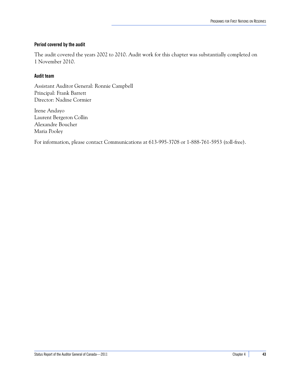#### **Period covered by the audit**

The audit covered the years 2002 to 2010. Audit work for this chapter was substantially completed on 1 November 2010.

#### **Audit team**

Assistant Auditor General: Ronnie Campbell Principal: Frank Barrett Director: Nadine Cormier

Irene Andayo Laurent Bergeron Collin Alexandre Boucher Maria Pooley

For information, please contact Communications at 613-995-3708 or 1-888-761-5953 (toll-free).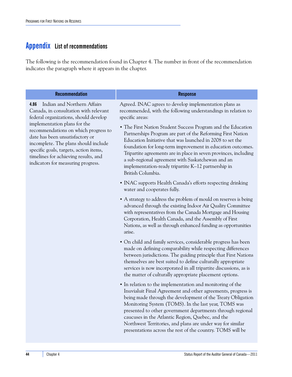### <span id="page-49-0"></span>**Appendix List of recommendations**

The following is the recommendation found in Chapter 4. The number in front of the recommendation indicates the paragraph where it appears in the chapter.

| <b>Recommendation</b>                                                                                                                                                                                                                                                                                                                                                                            | <b>Response</b>                                                                                                                                                                                                                                                                                                                                                                                                                                                                                                                                                                                            |
|--------------------------------------------------------------------------------------------------------------------------------------------------------------------------------------------------------------------------------------------------------------------------------------------------------------------------------------------------------------------------------------------------|------------------------------------------------------------------------------------------------------------------------------------------------------------------------------------------------------------------------------------------------------------------------------------------------------------------------------------------------------------------------------------------------------------------------------------------------------------------------------------------------------------------------------------------------------------------------------------------------------------|
| Indian and Northern Affairs<br>4.86<br>Canada, in consultation with relevant<br>federal organizations, should develop<br>implementation plans for the<br>recommendations on which progress to<br>date has been unsatisfactory or<br>incomplete. The plans should include<br>specific goals, targets, action items,<br>timelines for achieving results, and<br>indicators for measuring progress. | Agreed. INAC agrees to develop implementation plans as<br>recommended, with the following understandings in relation to<br>specific areas:<br>• The First Nation Student Success Program and the Education<br>Partnerships Program are part of the Reforming First Nation<br>Education Initiative that was launched in 2008 to set the<br>foundation for long-term improvement in education outcomes.<br>Tripartite agreements are in place in seven provinces, including<br>a sub-regional agreement with Saskatchewan and an<br>implementation-ready tripartite K-12 partnership in<br>British Columbia. |
|                                                                                                                                                                                                                                                                                                                                                                                                  | • INAC supports Health Canada's efforts respecting drinking<br>water and cooperates fully.                                                                                                                                                                                                                                                                                                                                                                                                                                                                                                                 |
|                                                                                                                                                                                                                                                                                                                                                                                                  | • A strategy to address the problem of mould on reserves is being<br>advanced through the existing Indoor Air Quality Committee<br>with representatives from the Canada Mortgage and Housing<br>Corporation, Health Canada, and the Assembly of First<br>Nations, as well as through enhanced funding as opportunities<br>arise.                                                                                                                                                                                                                                                                           |
|                                                                                                                                                                                                                                                                                                                                                                                                  | • On child and family services, considerable progress has been<br>made on defining comparability while respecting differences<br>between jurisdictions. The guiding principle that First Nations<br>themselves are best suited to define culturally appropriate<br>services is now incorporated in all tripartite discussions, as is<br>the matter of culturally appropriate placement options.                                                                                                                                                                                                            |
|                                                                                                                                                                                                                                                                                                                                                                                                  | • In relation to the implementation and monitoring of the<br>Inuvialuit Final Agreement and other agreements, progress is<br>being made through the development of the Treaty Obligation<br>Monitoring System (TOMS). In the last year, TOMS was<br>presented to other government departments through regional<br>caucuses in the Atlantic Region, Quebec, and the<br>Northwest Territories, and plans are under way for similar<br>presentations across the rest of the country. TOMS will be                                                                                                             |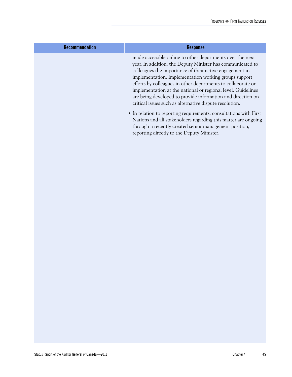| <b>Recommendation</b> | <b>Response</b>                                                                                                                                                                                                                                                                                                                                                                                                                                                                                       |
|-----------------------|-------------------------------------------------------------------------------------------------------------------------------------------------------------------------------------------------------------------------------------------------------------------------------------------------------------------------------------------------------------------------------------------------------------------------------------------------------------------------------------------------------|
|                       | made accessible online to other departments over the next<br>year. In addition, the Deputy Minister has communicated to<br>colleagues the importance of their active engagement in<br>implementation. Implementation working groups support<br>efforts by colleagues in other departments to collaborate on<br>implementation at the national or regional level. Guidelines<br>are being developed to provide information and direction on<br>critical issues such as alternative dispute resolution. |
|                       | • In relation to reporting requirements, consultations with First<br>Nations and all stakeholders regarding this matter are ongoing<br>through a recently created senior management position,<br>reporting directly to the Deputy Minister.                                                                                                                                                                                                                                                           |
|                       |                                                                                                                                                                                                                                                                                                                                                                                                                                                                                                       |
|                       |                                                                                                                                                                                                                                                                                                                                                                                                                                                                                                       |
|                       |                                                                                                                                                                                                                                                                                                                                                                                                                                                                                                       |
|                       |                                                                                                                                                                                                                                                                                                                                                                                                                                                                                                       |
|                       |                                                                                                                                                                                                                                                                                                                                                                                                                                                                                                       |
|                       |                                                                                                                                                                                                                                                                                                                                                                                                                                                                                                       |
|                       |                                                                                                                                                                                                                                                                                                                                                                                                                                                                                                       |
|                       |                                                                                                                                                                                                                                                                                                                                                                                                                                                                                                       |
|                       |                                                                                                                                                                                                                                                                                                                                                                                                                                                                                                       |